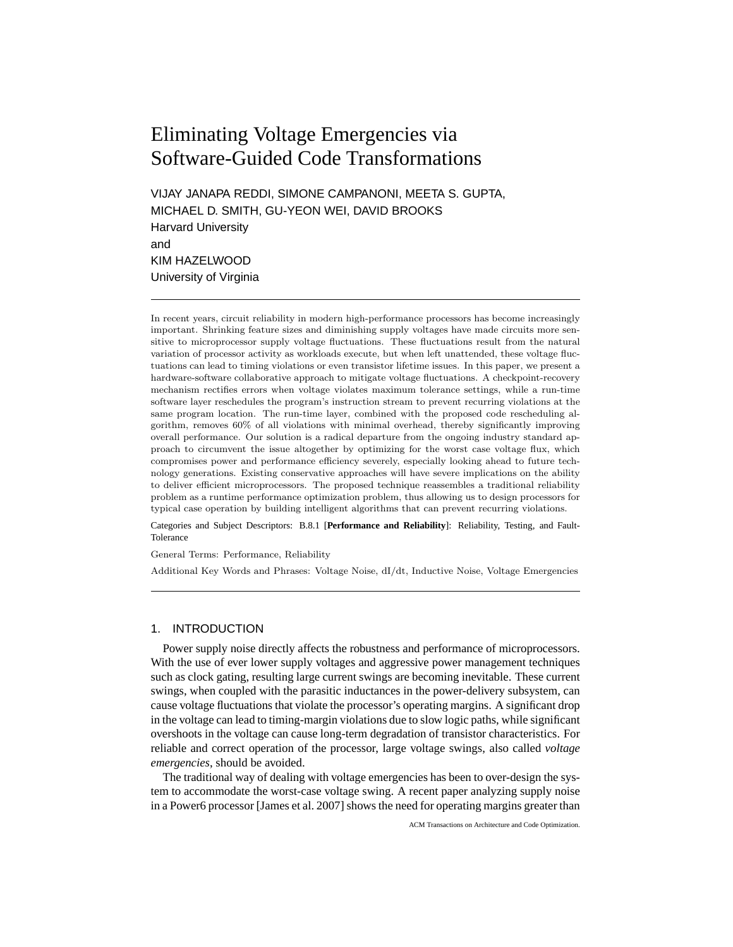# Eliminating Voltage Emergencies via Software-Guided Code Transformations

VIJAY JANAPA REDDI, SIMONE CAMPANONI, MEETA S. GUPTA, MICHAEL D. SMITH, GU-YEON WEI, DAVID BROOKS Harvard University and KIM HAZELWOOD University of Virginia

In recent years, circuit reliability in modern high-performance processors has become increasingly important. Shrinking feature sizes and diminishing supply voltages have made circuits more sensitive to microprocessor supply voltage fluctuations. These fluctuations result from the natural variation of processor activity as workloads execute, but when left unattended, these voltage fluctuations can lead to timing violations or even transistor lifetime issues. In this paper, we present a hardware-software collaborative approach to mitigate voltage fluctuations. A checkpoint-recovery mechanism rectifies errors when voltage violates maximum tolerance settings, while a run-time software layer reschedules the program's instruction stream to prevent recurring violations at the same program location. The run-time layer, combined with the proposed code rescheduling algorithm, removes 60% of all violations with minimal overhead, thereby significantly improving overall performance. Our solution is a radical departure from the ongoing industry standard approach to circumvent the issue altogether by optimizing for the worst case voltage flux, which compromises power and performance efficiency severely, especially looking ahead to future technology generations. Existing conservative approaches will have severe implications on the ability to deliver efficient microprocessors. The proposed technique reassembles a traditional reliability problem as a runtime performance optimization problem, thus allowing us to design processors for typical case operation by building intelligent algorithms that can prevent recurring violations.

Categories and Subject Descriptors: B.8.1 [**Performance and Reliability**]: Reliability, Testing, and Fault-Tolerance

General Terms: Performance, Reliability

Additional Key Words and Phrases: Voltage Noise, dI/dt, Inductive Noise, Voltage Emergencies

#### 1. INTRODUCTION

Power supply noise directly affects the robustness and performance of microprocessors. With the use of ever lower supply voltages and aggressive power management techniques such as clock gating, resulting large current swings are becoming inevitable. These current swings, when coupled with the parasitic inductances in the power-delivery subsystem, can cause voltage fluctuations that violate the processor's operating margins. A significant drop in the voltage can lead to timing-margin violations due to slow logic paths, while significant overshoots in the voltage can cause long-term degradation of transistor characteristics. For reliable and correct operation of the processor, large voltage swings, also called *voltage emergencies*, should be avoided.

The traditional way of dealing with voltage emergencies has been to over-design the system to accommodate the worst-case voltage swing. A recent paper analyzing supply noise in a Power6 processor [James et al. 2007] shows the need for operating margins greater than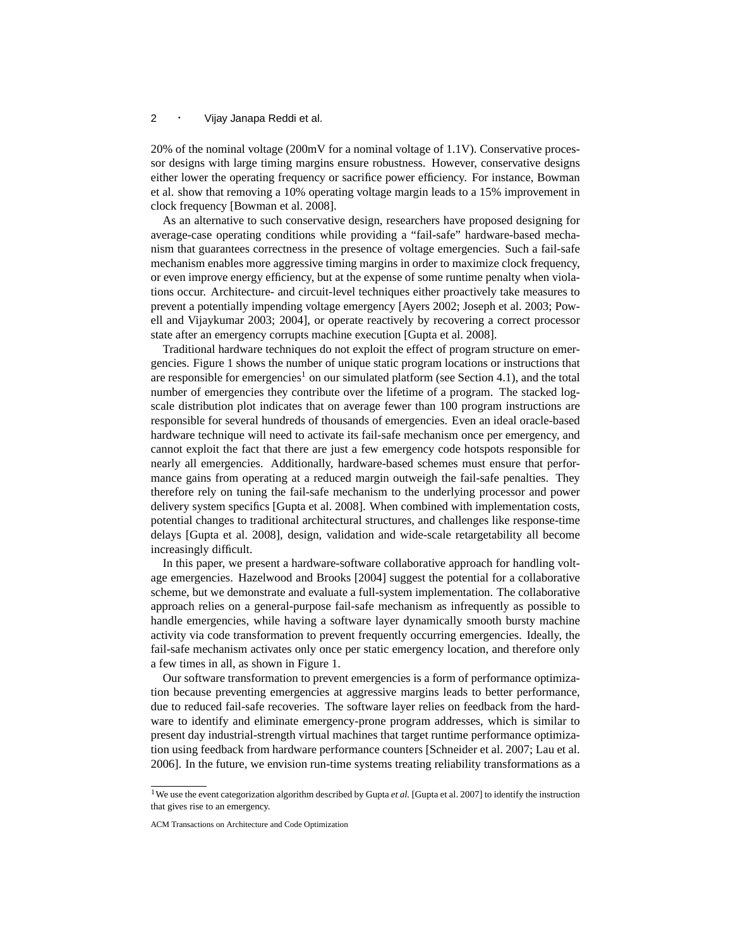20% of the nominal voltage (200mV for a nominal voltage of 1.1V). Conservative processor designs with large timing margins ensure robustness. However, conservative designs either lower the operating frequency or sacrifice power efficiency. For instance, Bowman et al. show that removing a 10% operating voltage margin leads to a 15% improvement in clock frequency [Bowman et al. 2008].

As an alternative to such conservative design, researchers have proposed designing for average-case operating conditions while providing a "fail-safe" hardware-based mechanism that guarantees correctness in the presence of voltage emergencies. Such a fail-safe mechanism enables more aggressive timing margins in order to maximize clock frequency, or even improve energy efficiency, but at the expense of some runtime penalty when violations occur. Architecture- and circuit-level techniques either proactively take measures to prevent a potentially impending voltage emergency [Ayers 2002; Joseph et al. 2003; Powell and Vijaykumar 2003; 2004], or operate reactively by recovering a correct processor state after an emergency corrupts machine execution [Gupta et al. 2008].

Traditional hardware techniques do not exploit the effect of program structure on emergencies. Figure 1 shows the number of unique static program locations or instructions that are responsible for emergencies<sup>1</sup> on our simulated platform (see Section 4.1), and the total number of emergencies they contribute over the lifetime of a program. The stacked logscale distribution plot indicates that on average fewer than 100 program instructions are responsible for several hundreds of thousands of emergencies. Even an ideal oracle-based hardware technique will need to activate its fail-safe mechanism once per emergency, and cannot exploit the fact that there are just a few emergency code hotspots responsible for nearly all emergencies. Additionally, hardware-based schemes must ensure that performance gains from operating at a reduced margin outweigh the fail-safe penalties. They therefore rely on tuning the fail-safe mechanism to the underlying processor and power delivery system specifics [Gupta et al. 2008]. When combined with implementation costs, potential changes to traditional architectural structures, and challenges like response-time delays [Gupta et al. 2008], design, validation and wide-scale retargetability all become increasingly difficult.

In this paper, we present a hardware-software collaborative approach for handling voltage emergencies. Hazelwood and Brooks [2004] suggest the potential for a collaborative scheme, but we demonstrate and evaluate a full-system implementation. The collaborative approach relies on a general-purpose fail-safe mechanism as infrequently as possible to handle emergencies, while having a software layer dynamically smooth bursty machine activity via code transformation to prevent frequently occurring emergencies. Ideally, the fail-safe mechanism activates only once per static emergency location, and therefore only a few times in all, as shown in Figure 1.

Our software transformation to prevent emergencies is a form of performance optimization because preventing emergencies at aggressive margins leads to better performance, due to reduced fail-safe recoveries. The software layer relies on feedback from the hardware to identify and eliminate emergency-prone program addresses, which is similar to present day industrial-strength virtual machines that target runtime performance optimization using feedback from hardware performance counters [Schneider et al. 2007; Lau et al. 2006]. In the future, we envision run-time systems treating reliability transformations as a

<sup>1</sup>We use the event categorization algorithm described by Gupta *et al.* [Gupta et al. 2007] to identify the instruction that gives rise to an emergency.

ACM Transactions on Architecture and Code Optimization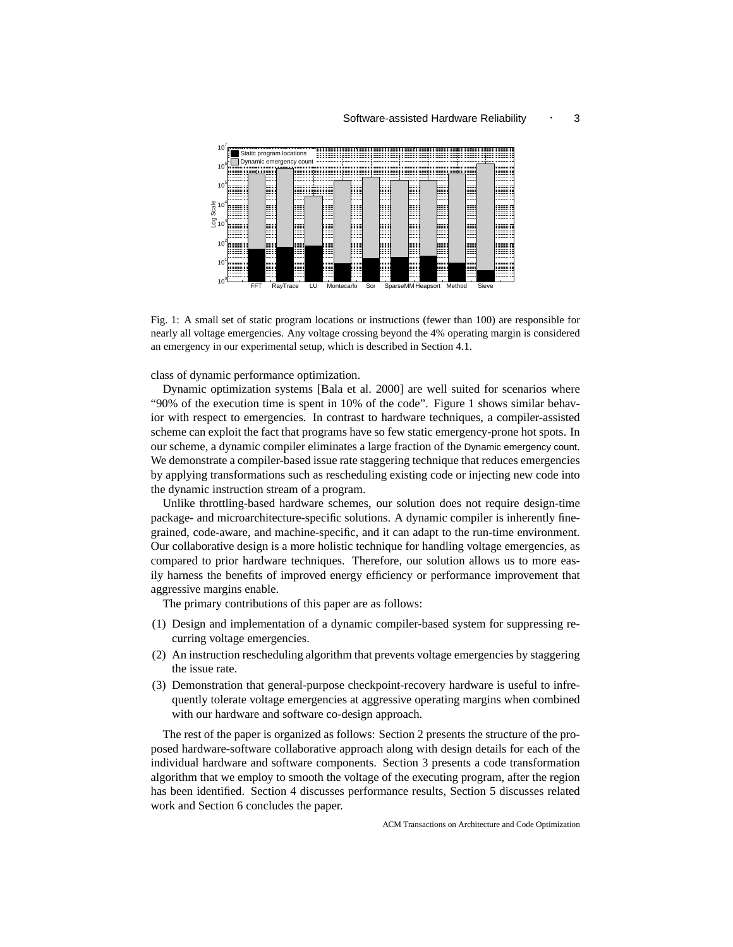#### Software-assisted Hardware Reliability • 3



Fig. 1: A small set of static program locations or instructions (fewer than 100) are responsible for nearly all voltage emergencies. Any voltage crossing beyond the 4% operating margin is considered an emergency in our experimental setup, which is described in Section 4.1.

class of dynamic performance optimization.

Dynamic optimization systems [Bala et al. 2000] are well suited for scenarios where "90% of the execution time is spent in 10% of the code". Figure 1 shows similar behavior with respect to emergencies. In contrast to hardware techniques, a compiler-assisted scheme can exploit the fact that programs have so few static emergency-prone hot spots. In our scheme, a dynamic compiler eliminates a large fraction of the Dynamic emergency count. We demonstrate a compiler-based issue rate staggering technique that reduces emergencies by applying transformations such as rescheduling existing code or injecting new code into the dynamic instruction stream of a program.

Unlike throttling-based hardware schemes, our solution does not require design-time package- and microarchitecture-specific solutions. A dynamic compiler is inherently finegrained, code-aware, and machine-specific, and it can adapt to the run-time environment. Our collaborative design is a more holistic technique for handling voltage emergencies, as compared to prior hardware techniques. Therefore, our solution allows us to more easily harness the benefits of improved energy efficiency or performance improvement that aggressive margins enable.

The primary contributions of this paper are as follows:

- (1) Design and implementation of a dynamic compiler-based system for suppressing recurring voltage emergencies.
- (2) An instruction rescheduling algorithm that prevents voltage emergencies by staggering the issue rate.
- (3) Demonstration that general-purpose checkpoint-recovery hardware is useful to infrequently tolerate voltage emergencies at aggressive operating margins when combined with our hardware and software co-design approach.

The rest of the paper is organized as follows: Section 2 presents the structure of the proposed hardware-software collaborative approach along with design details for each of the individual hardware and software components. Section 3 presents a code transformation algorithm that we employ to smooth the voltage of the executing program, after the region has been identified. Section 4 discusses performance results, Section 5 discusses related work and Section 6 concludes the paper.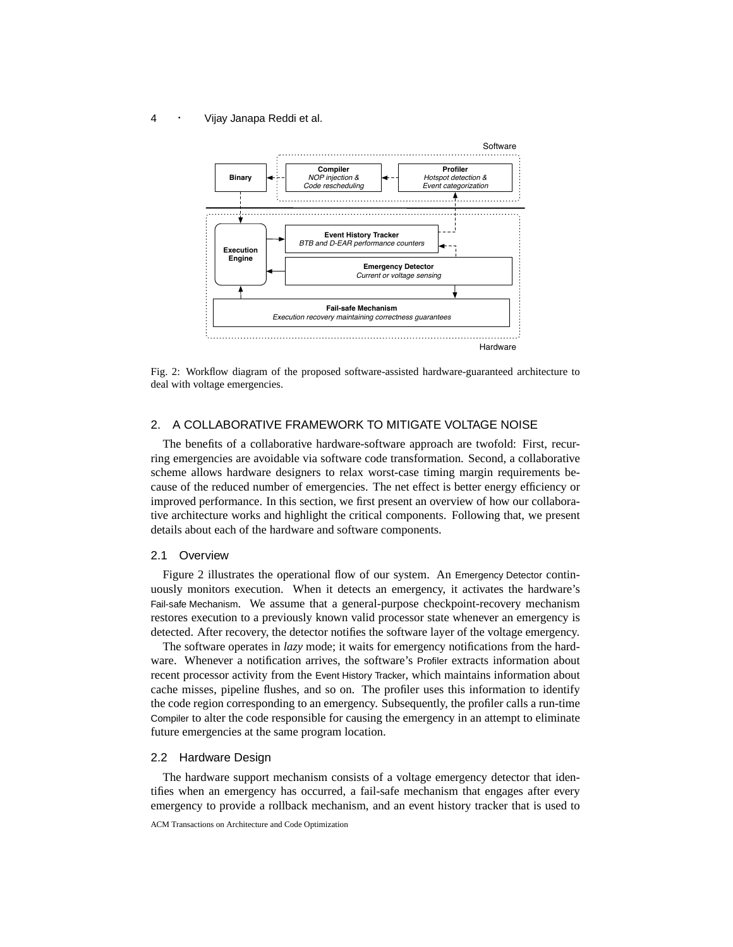<sup>4</sup> · Vijay Janapa Reddi et al.



Fig. 2: Workflow diagram of the proposed software-assisted hardware-guaranteed architecture to deal with voltage emergencies.

# 2. A COLLABORATIVE FRAMEWORK TO MITIGATE VOLTAGE NOISE

The benefits of a collaborative hardware-software approach are twofold: First, recurring emergencies are avoidable via software code transformation. Second, a collaborative scheme allows hardware designers to relax worst-case timing margin requirements because of the reduced number of emergencies. The net effect is better energy efficiency or improved performance. In this section, we first present an overview of how our collaborative architecture works and highlight the critical components. Following that, we present details about each of the hardware and software components.

### 2.1 Overview

Figure 2 illustrates the operational flow of our system. An Emergency Detector continuously monitors execution. When it detects an emergency, it activates the hardware's Fail-safe Mechanism. We assume that a general-purpose checkpoint-recovery mechanism restores execution to a previously known valid processor state whenever an emergency is detected. After recovery, the detector notifies the software layer of the voltage emergency.

The software operates in *lazy* mode; it waits for emergency notifications from the hardware. Whenever a notification arrives, the software's Profiler extracts information about recent processor activity from the Event History Tracker, which maintains information about cache misses, pipeline flushes, and so on. The profiler uses this information to identify the code region corresponding to an emergency. Subsequently, the profiler calls a run-time Compiler to alter the code responsible for causing the emergency in an attempt to eliminate future emergencies at the same program location.

# 2.2 Hardware Design

The hardware support mechanism consists of a voltage emergency detector that identifies when an emergency has occurred, a fail-safe mechanism that engages after every emergency to provide a rollback mechanism, and an event history tracker that is used to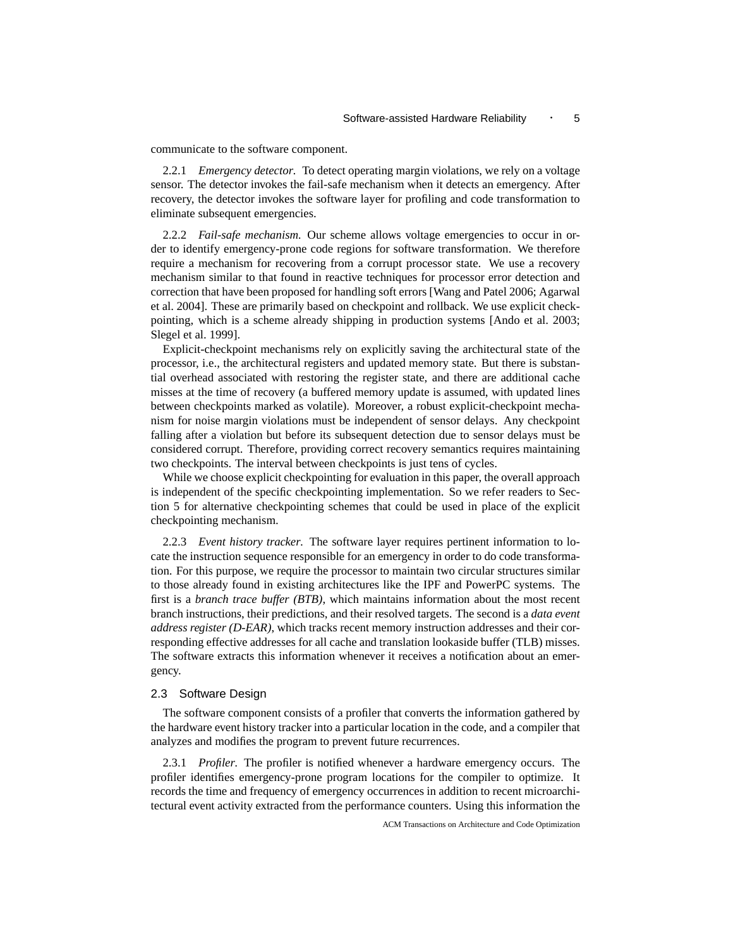communicate to the software component.

2.2.1 *Emergency detector.* To detect operating margin violations, we rely on a voltage sensor. The detector invokes the fail-safe mechanism when it detects an emergency. After recovery, the detector invokes the software layer for profiling and code transformation to eliminate subsequent emergencies.

2.2.2 *Fail-safe mechanism.* Our scheme allows voltage emergencies to occur in order to identify emergency-prone code regions for software transformation. We therefore require a mechanism for recovering from a corrupt processor state. We use a recovery mechanism similar to that found in reactive techniques for processor error detection and correction that have been proposed for handling soft errors [Wang and Patel 2006; Agarwal et al. 2004]. These are primarily based on checkpoint and rollback. We use explicit checkpointing, which is a scheme already shipping in production systems [Ando et al. 2003; Slegel et al. 1999].

Explicit-checkpoint mechanisms rely on explicitly saving the architectural state of the processor, i.e., the architectural registers and updated memory state. But there is substantial overhead associated with restoring the register state, and there are additional cache misses at the time of recovery (a buffered memory update is assumed, with updated lines between checkpoints marked as volatile). Moreover, a robust explicit-checkpoint mechanism for noise margin violations must be independent of sensor delays. Any checkpoint falling after a violation but before its subsequent detection due to sensor delays must be considered corrupt. Therefore, providing correct recovery semantics requires maintaining two checkpoints. The interval between checkpoints is just tens of cycles.

While we choose explicit checkpointing for evaluation in this paper, the overall approach is independent of the specific checkpointing implementation. So we refer readers to Section 5 for alternative checkpointing schemes that could be used in place of the explicit checkpointing mechanism.

2.2.3 *Event history tracker.* The software layer requires pertinent information to locate the instruction sequence responsible for an emergency in order to do code transformation. For this purpose, we require the processor to maintain two circular structures similar to those already found in existing architectures like the IPF and PowerPC systems. The first is a *branch trace buffer (BTB)*, which maintains information about the most recent branch instructions, their predictions, and their resolved targets. The second is a *data event address register (D-EAR)*, which tracks recent memory instruction addresses and their corresponding effective addresses for all cache and translation lookaside buffer (TLB) misses. The software extracts this information whenever it receives a notification about an emergency.

# 2.3 Software Design

The software component consists of a profiler that converts the information gathered by the hardware event history tracker into a particular location in the code, and a compiler that analyzes and modifies the program to prevent future recurrences.

2.3.1 *Profiler.* The profiler is notified whenever a hardware emergency occurs. The profiler identifies emergency-prone program locations for the compiler to optimize. It records the time and frequency of emergency occurrences in addition to recent microarchitectural event activity extracted from the performance counters. Using this information the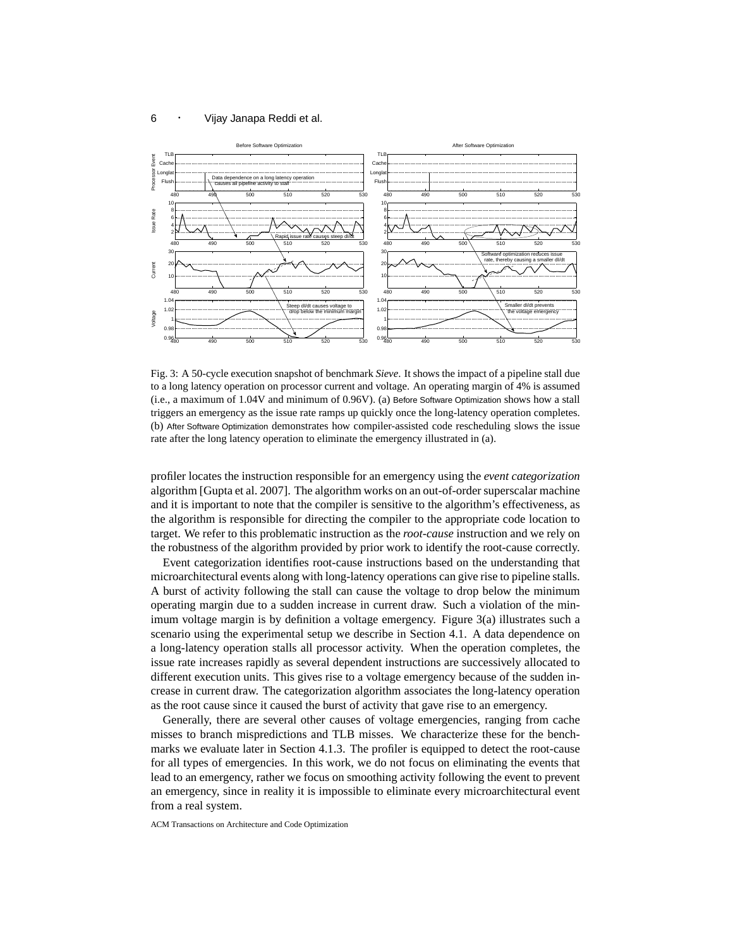

Fig. 3: A 50-cycle execution snapshot of benchmark *Sieve*. It shows the impact of a pipeline stall due to a long latency operation on processor current and voltage. An operating margin of 4% is assumed (i.e., a maximum of 1.04V and minimum of 0.96V). (a) Before Software Optimization shows how a stall triggers an emergency as the issue rate ramps up quickly once the long-latency operation completes. (b) After Software Optimization demonstrates how compiler-assisted code rescheduling slows the issue rate after the long latency operation to eliminate the emergency illustrated in (a).

profiler locates the instruction responsible for an emergency using the *event categorization* algorithm [Gupta et al. 2007]. The algorithm works on an out-of-order superscalar machine and it is important to note that the compiler is sensitive to the algorithm's effectiveness, as the algorithm is responsible for directing the compiler to the appropriate code location to target. We refer to this problematic instruction as the *root-cause* instruction and we rely on the robustness of the algorithm provided by prior work to identify the root-cause correctly.

Event categorization identifies root-cause instructions based on the understanding that microarchitectural events along with long-latency operations can give rise to pipeline stalls. A burst of activity following the stall can cause the voltage to drop below the minimum operating margin due to a sudden increase in current draw. Such a violation of the minimum voltage margin is by definition a voltage emergency. Figure 3(a) illustrates such a scenario using the experimental setup we describe in Section 4.1. A data dependence on a long-latency operation stalls all processor activity. When the operation completes, the issue rate increases rapidly as several dependent instructions are successively allocated to different execution units. This gives rise to a voltage emergency because of the sudden increase in current draw. The categorization algorithm associates the long-latency operation as the root cause since it caused the burst of activity that gave rise to an emergency.

Generally, there are several other causes of voltage emergencies, ranging from cache misses to branch mispredictions and TLB misses. We characterize these for the benchmarks we evaluate later in Section 4.1.3. The profiler is equipped to detect the root-cause for all types of emergencies. In this work, we do not focus on eliminating the events that lead to an emergency, rather we focus on smoothing activity following the event to prevent an emergency, since in reality it is impossible to eliminate every microarchitectural event from a real system.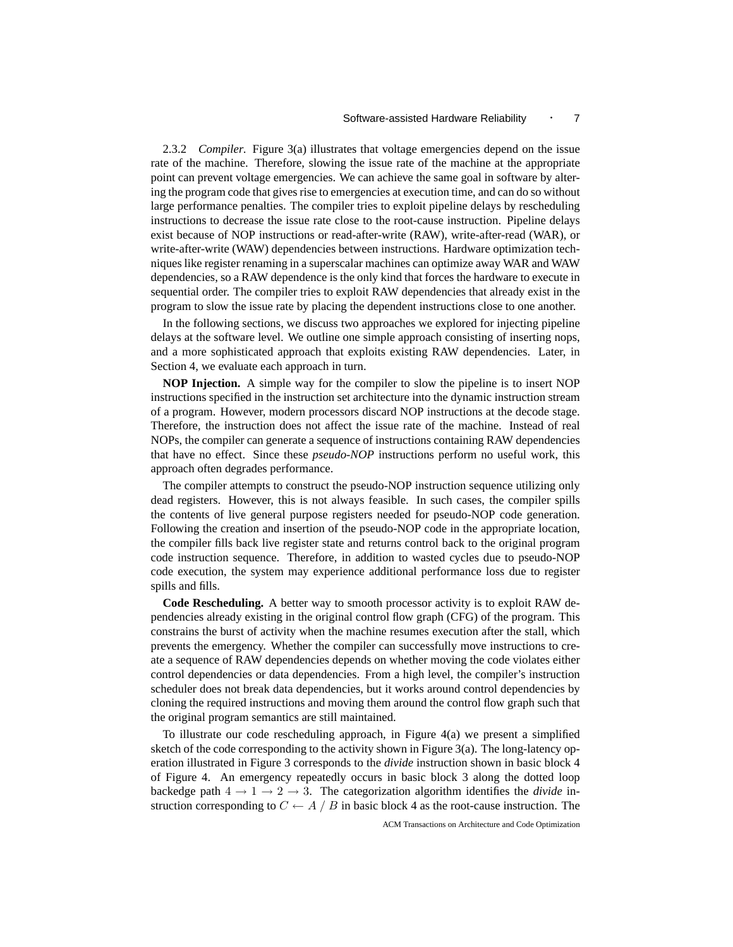2.3.2 *Compiler.* Figure 3(a) illustrates that voltage emergencies depend on the issue rate of the machine. Therefore, slowing the issue rate of the machine at the appropriate point can prevent voltage emergencies. We can achieve the same goal in software by altering the program code that gives rise to emergencies at execution time, and can do so without large performance penalties. The compiler tries to exploit pipeline delays by rescheduling instructions to decrease the issue rate close to the root-cause instruction. Pipeline delays exist because of NOP instructions or read-after-write (RAW), write-after-read (WAR), or write-after-write (WAW) dependencies between instructions. Hardware optimization techniques like register renaming in a superscalar machines can optimize away WAR and WAW dependencies, so a RAW dependence is the only kind that forces the hardware to execute in sequential order. The compiler tries to exploit RAW dependencies that already exist in the program to slow the issue rate by placing the dependent instructions close to one another.

In the following sections, we discuss two approaches we explored for injecting pipeline delays at the software level. We outline one simple approach consisting of inserting nops, and a more sophisticated approach that exploits existing RAW dependencies. Later, in Section 4, we evaluate each approach in turn.

**NOP Injection.** A simple way for the compiler to slow the pipeline is to insert NOP instructions specified in the instruction set architecture into the dynamic instruction stream of a program. However, modern processors discard NOP instructions at the decode stage. Therefore, the instruction does not affect the issue rate of the machine. Instead of real NOPs, the compiler can generate a sequence of instructions containing RAW dependencies that have no effect. Since these *pseudo-NOP* instructions perform no useful work, this approach often degrades performance.

The compiler attempts to construct the pseudo-NOP instruction sequence utilizing only dead registers. However, this is not always feasible. In such cases, the compiler spills the contents of live general purpose registers needed for pseudo-NOP code generation. Following the creation and insertion of the pseudo-NOP code in the appropriate location, the compiler fills back live register state and returns control back to the original program code instruction sequence. Therefore, in addition to wasted cycles due to pseudo-NOP code execution, the system may experience additional performance loss due to register spills and fills.

**Code Rescheduling.** A better way to smooth processor activity is to exploit RAW dependencies already existing in the original control flow graph (CFG) of the program. This constrains the burst of activity when the machine resumes execution after the stall, which prevents the emergency. Whether the compiler can successfully move instructions to create a sequence of RAW dependencies depends on whether moving the code violates either control dependencies or data dependencies. From a high level, the compiler's instruction scheduler does not break data dependencies, but it works around control dependencies by cloning the required instructions and moving them around the control flow graph such that the original program semantics are still maintained.

To illustrate our code rescheduling approach, in Figure 4(a) we present a simplified sketch of the code corresponding to the activity shown in Figure 3(a). The long-latency operation illustrated in Figure 3 corresponds to the *divide* instruction shown in basic block 4 of Figure 4. An emergency repeatedly occurs in basic block 3 along the dotted loop backedge path  $4 \rightarrow 1 \rightarrow 2 \rightarrow 3$ . The categorization algorithm identifies the *divide* instruction corresponding to  $C \leftarrow A / B$  in basic block 4 as the root-cause instruction. The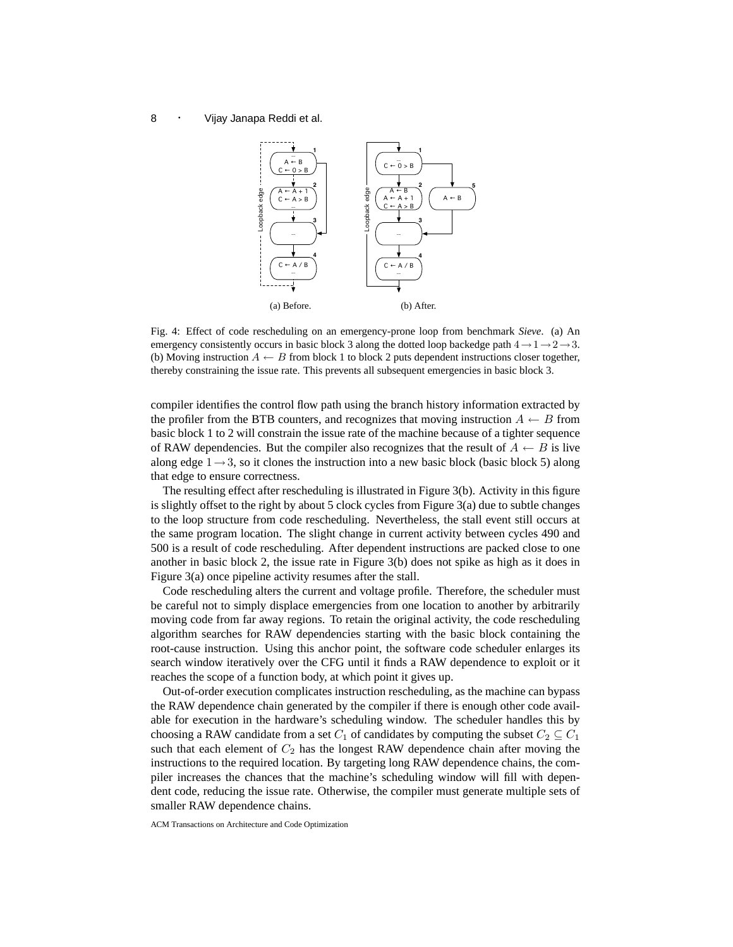8 · Vijay Janapa Reddi et al.



Fig. 4: Effect of code rescheduling on an emergency-prone loop from benchmark *Sieve*. (a) An emergency consistently occurs in basic block 3 along the dotted loop backedge path  $4 \rightarrow 1 \rightarrow 2 \rightarrow 3$ . (b) Moving instruction  $A \leftarrow B$  from block 1 to block 2 puts dependent instructions closer together, thereby constraining the issue rate. This prevents all subsequent emergencies in basic block 3.

compiler identifies the control flow path using the branch history information extracted by the profiler from the BTB counters, and recognizes that moving instruction  $A \leftarrow B$  from basic block 1 to 2 will constrain the issue rate of the machine because of a tighter sequence of RAW dependencies. But the compiler also recognizes that the result of  $A \leftarrow B$  is live along edge  $1 \rightarrow 3$ , so it clones the instruction into a new basic block (basic block 5) along that edge to ensure correctness.

The resulting effect after rescheduling is illustrated in Figure 3(b). Activity in this figure is slightly offset to the right by about 5 clock cycles from Figure 3(a) due to subtle changes to the loop structure from code rescheduling. Nevertheless, the stall event still occurs at the same program location. The slight change in current activity between cycles 490 and 500 is a result of code rescheduling. After dependent instructions are packed close to one another in basic block 2, the issue rate in Figure 3(b) does not spike as high as it does in Figure 3(a) once pipeline activity resumes after the stall.

Code rescheduling alters the current and voltage profile. Therefore, the scheduler must be careful not to simply displace emergencies from one location to another by arbitrarily moving code from far away regions. To retain the original activity, the code rescheduling algorithm searches for RAW dependencies starting with the basic block containing the root-cause instruction. Using this anchor point, the software code scheduler enlarges its search window iteratively over the CFG until it finds a RAW dependence to exploit or it reaches the scope of a function body, at which point it gives up.

Out-of-order execution complicates instruction rescheduling, as the machine can bypass the RAW dependence chain generated by the compiler if there is enough other code available for execution in the hardware's scheduling window. The scheduler handles this by choosing a RAW candidate from a set  $C_1$  of candidates by computing the subset  $C_2 \subseteq C_1$ such that each element of  $C_2$  has the longest RAW dependence chain after moving the instructions to the required location. By targeting long RAW dependence chains, the compiler increases the chances that the machine's scheduling window will fill with dependent code, reducing the issue rate. Otherwise, the compiler must generate multiple sets of smaller RAW dependence chains.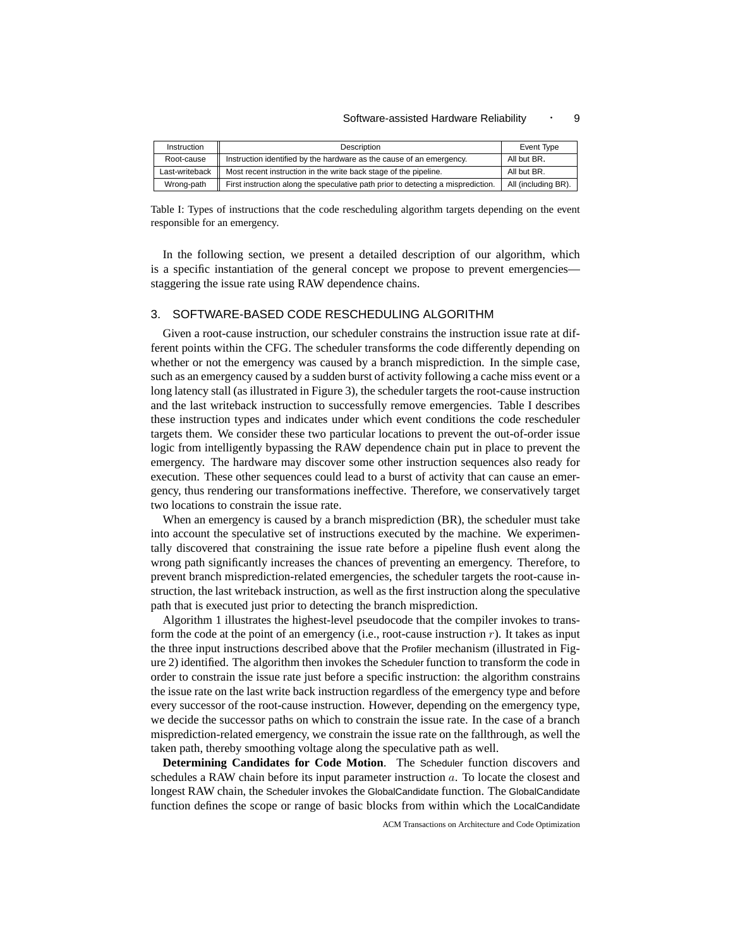| Instruction    | Description                                                                      | Event Type          |
|----------------|----------------------------------------------------------------------------------|---------------------|
| Root-cause     | Instruction identified by the hardware as the cause of an emergency.             | All but BR.         |
| Last-writeback | Most recent instruction in the write back stage of the pipeline.                 | All but BR.         |
| Wrong-path     | First instruction along the speculative path prior to detecting a misprediction. | All (including BR). |

Table I: Types of instructions that the code rescheduling algorithm targets depending on the event responsible for an emergency.

In the following section, we present a detailed description of our algorithm, which is a specific instantiation of the general concept we propose to prevent emergencies staggering the issue rate using RAW dependence chains.

# 3. SOFTWARE-BASED CODE RESCHEDULING ALGORITHM

Given a root-cause instruction, our scheduler constrains the instruction issue rate at different points within the CFG. The scheduler transforms the code differently depending on whether or not the emergency was caused by a branch misprediction. In the simple case, such as an emergency caused by a sudden burst of activity following a cache miss event or a long latency stall (as illustrated in Figure 3), the scheduler targets the root-cause instruction and the last writeback instruction to successfully remove emergencies. Table I describes these instruction types and indicates under which event conditions the code rescheduler targets them. We consider these two particular locations to prevent the out-of-order issue logic from intelligently bypassing the RAW dependence chain put in place to prevent the emergency. The hardware may discover some other instruction sequences also ready for execution. These other sequences could lead to a burst of activity that can cause an emergency, thus rendering our transformations ineffective. Therefore, we conservatively target two locations to constrain the issue rate.

When an emergency is caused by a branch misprediction (BR), the scheduler must take into account the speculative set of instructions executed by the machine. We experimentally discovered that constraining the issue rate before a pipeline flush event along the wrong path significantly increases the chances of preventing an emergency. Therefore, to prevent branch misprediction-related emergencies, the scheduler targets the root-cause instruction, the last writeback instruction, as well as the first instruction along the speculative path that is executed just prior to detecting the branch misprediction.

Algorithm 1 illustrates the highest-level pseudocode that the compiler invokes to transform the code at the point of an emergency (i.e., root-cause instruction r). It takes as input the three input instructions described above that the Profiler mechanism (illustrated in Figure 2) identified. The algorithm then invokes the Scheduler function to transform the code in order to constrain the issue rate just before a specific instruction: the algorithm constrains the issue rate on the last write back instruction regardless of the emergency type and before every successor of the root-cause instruction. However, depending on the emergency type, we decide the successor paths on which to constrain the issue rate. In the case of a branch misprediction-related emergency, we constrain the issue rate on the fallthrough, as well the taken path, thereby smoothing voltage along the speculative path as well.

**Determining Candidates for Code Motion**. The Scheduler function discovers and schedules a RAW chain before its input parameter instruction a. To locate the closest and longest RAW chain, the Scheduler invokes the GlobalCandidate function. The GlobalCandidate function defines the scope or range of basic blocks from within which the LocalCandidate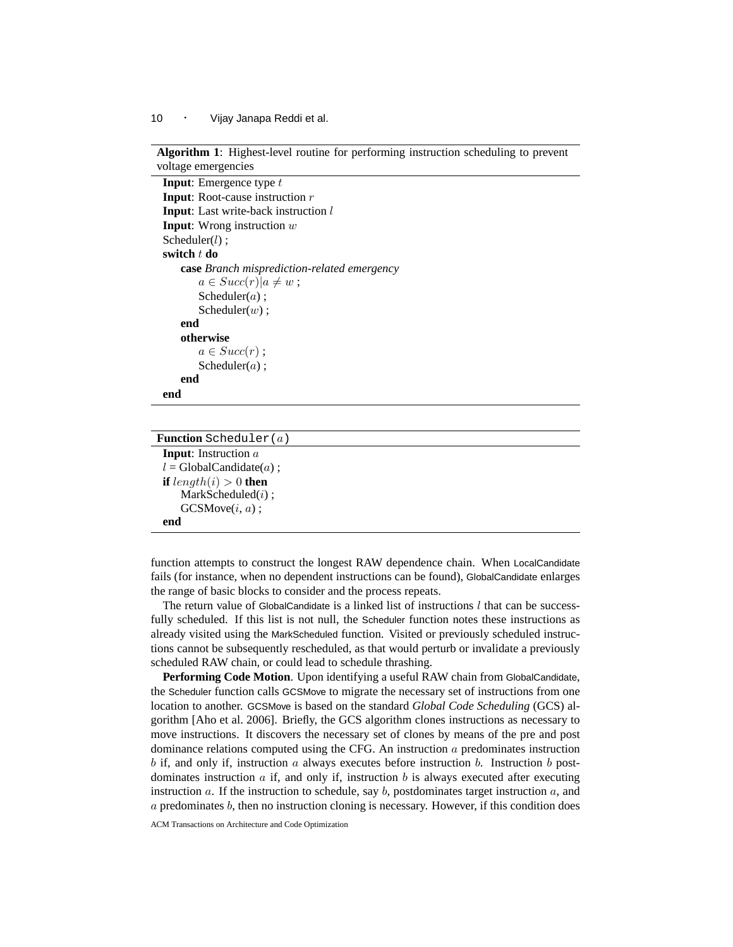**Algorithm 1**: Highest-level routine for performing instruction scheduling to prevent voltage emergencies

```
Input: Emergence type t
Input: Root-cause instruction r
Input: Last write-back instruction l
Input: Wrong instruction w
Scheduler(l):
switch t do
   case Branch misprediction-related emergency
       a \in Succ(r)|a \neq w;Scheduler(a);
       Scheduler(w);
   end
   otherwise
       a \in Succ(r);
       Scheduler(a);
   end
end
```

```
Function Scheduler(a)
```

```
Input: Instruction a
l = GlobalC and iide(a);
if length(i) > 0 then
   MarkScheduled(i);
   GCSMove(i, a):
end
```
function attempts to construct the longest RAW dependence chain. When LocalCandidate fails (for instance, when no dependent instructions can be found), GlobalCandidate enlarges the range of basic blocks to consider and the process repeats.

The return value of GlobalCandidate is a linked list of instructions  $l$  that can be successfully scheduled. If this list is not null, the Scheduler function notes these instructions as already visited using the MarkScheduled function. Visited or previously scheduled instructions cannot be subsequently rescheduled, as that would perturb or invalidate a previously scheduled RAW chain, or could lead to schedule thrashing.

**Performing Code Motion**. Upon identifying a useful RAW chain from GlobalCandidate, the Scheduler function calls GCSMove to migrate the necessary set of instructions from one location to another. GCSMove is based on the standard *Global Code Scheduling* (GCS) algorithm [Aho et al. 2006]. Briefly, the GCS algorithm clones instructions as necessary to move instructions. It discovers the necessary set of clones by means of the pre and post dominance relations computed using the CFG. An instruction  $a$  predominates instruction  $b$  if, and only if, instruction  $a$  always executes before instruction  $b$ . Instruction  $b$  postdominates instruction  $a$  if, and only if, instruction  $b$  is always executed after executing instruction a. If the instruction to schedule, say b, postdominates target instruction a, and a predominates b, then no instruction cloning is necessary. However, if this condition does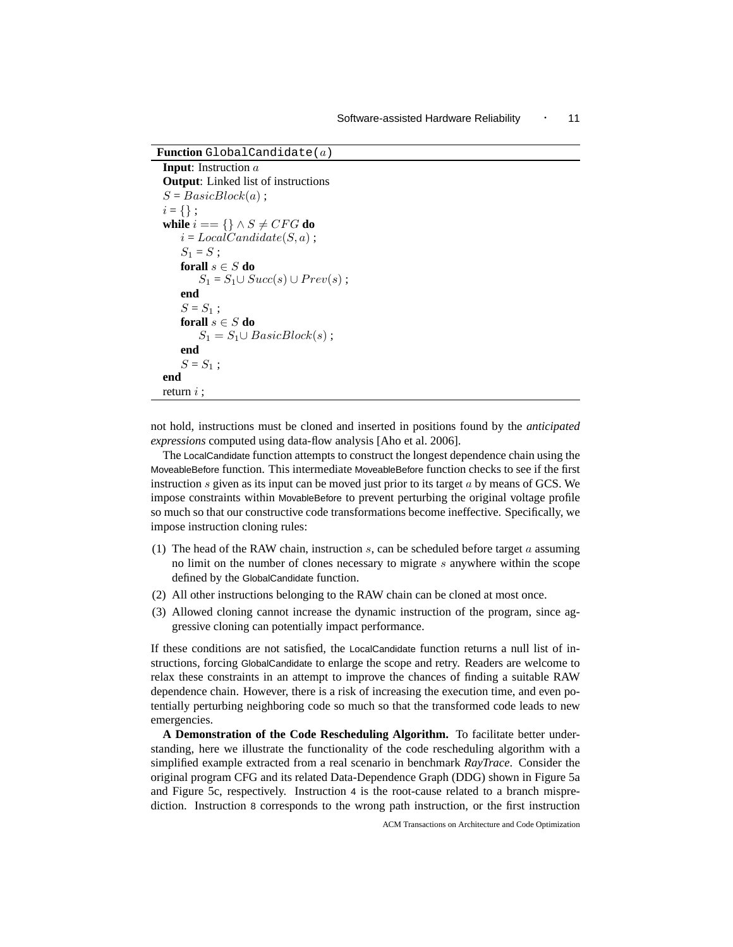**Function** GlobalCandidate(a)

```
Input: Instruction a
Output: Linked list of instructions
S = BasicBlock(a);
i = \{\};
while i == \{ \} \wedge S \neq CFG do
    i = Local Candidate(S, a);
    S_1 = S;
    forall s \in S do
        S_1 = S_1 \cup Succ(s) \cup Prev(s);
    end
    S = S_1;forall s \in S do
        S_1 = S_1 \cup BasicBlock(s);
    end
    S = S_1 ;
end
return i;
```
not hold, instructions must be cloned and inserted in positions found by the *anticipated expressions* computed using data-flow analysis [Aho et al. 2006].

The LocalCandidate function attempts to construct the longest dependence chain using the MoveableBefore function. This intermediate MoveableBefore function checks to see if the first instruction  $s$  given as its input can be moved just prior to its target  $a$  by means of GCS. We impose constraints within MovableBefore to prevent perturbing the original voltage profile so much so that our constructive code transformations become ineffective. Specifically, we impose instruction cloning rules:

- (1) The head of the RAW chain, instruction s, can be scheduled before target a assuming no limit on the number of clones necessary to migrate s anywhere within the scope defined by the GlobalCandidate function.
- (2) All other instructions belonging to the RAW chain can be cloned at most once.
- (3) Allowed cloning cannot increase the dynamic instruction of the program, since aggressive cloning can potentially impact performance.

If these conditions are not satisfied, the LocalCandidate function returns a null list of instructions, forcing GlobalCandidate to enlarge the scope and retry. Readers are welcome to relax these constraints in an attempt to improve the chances of finding a suitable RAW dependence chain. However, there is a risk of increasing the execution time, and even potentially perturbing neighboring code so much so that the transformed code leads to new emergencies.

**A Demonstration of the Code Rescheduling Algorithm.** To facilitate better understanding, here we illustrate the functionality of the code rescheduling algorithm with a simplified example extracted from a real scenario in benchmark *RayTrace*. Consider the original program CFG and its related Data-Dependence Graph (DDG) shown in Figure 5a and Figure 5c, respectively. Instruction 4 is the root-cause related to a branch misprediction. Instruction 8 corresponds to the wrong path instruction, or the first instruction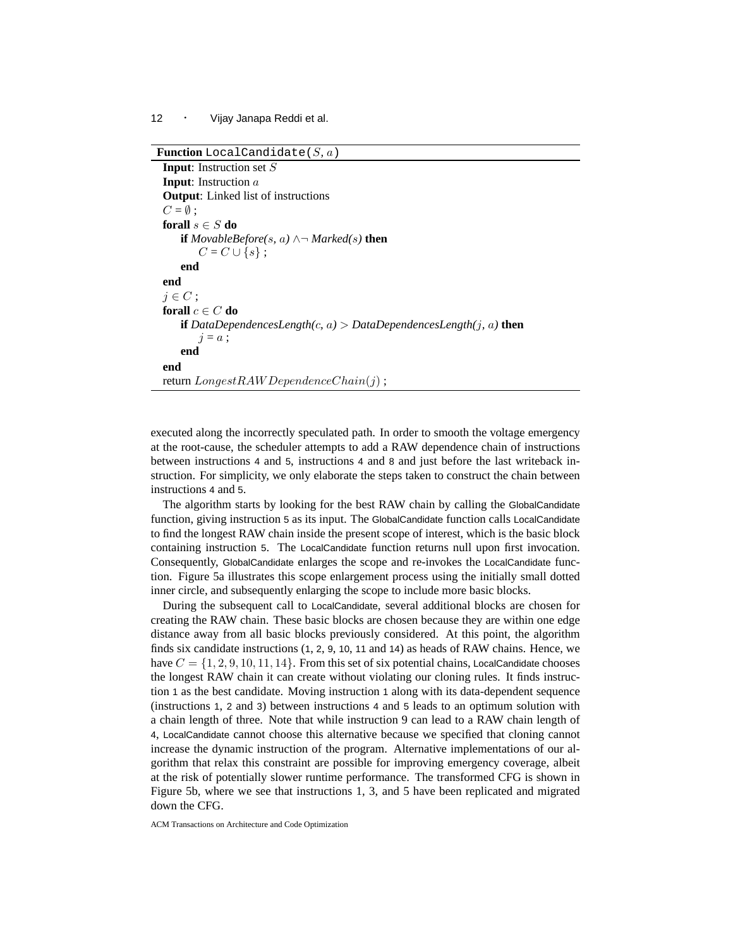**Function** LocalCandidate( $S$ ,  $a$ )

```
Input: Instruction set S
Input: Instruction a
Output: Linked list of instructions
C = \emptyset;
forall s \in S do
    if {\it MovableBefore}(s, a) \land \neg {\it Marked}(s) then
        C = C \cup \{s\};end
end
j \in C;
forall c \in C do
    if DataDependencesLength(c, a) > DataDependencesLength(j, a) then
        j = a;
    end
end
return Longest RAW DependerceChain(j);
```
executed along the incorrectly speculated path. In order to smooth the voltage emergency at the root-cause, the scheduler attempts to add a RAW dependence chain of instructions between instructions 4 and 5, instructions 4 and 8 and just before the last writeback instruction. For simplicity, we only elaborate the steps taken to construct the chain between instructions 4 and 5.

The algorithm starts by looking for the best RAW chain by calling the GlobalCandidate function, giving instruction 5 as its input. The GlobalCandidate function calls LocalCandidate to find the longest RAW chain inside the present scope of interest, which is the basic block containing instruction 5. The LocalCandidate function returns null upon first invocation. Consequently, GlobalCandidate enlarges the scope and re-invokes the LocalCandidate function. Figure 5a illustrates this scope enlargement process using the initially small dotted inner circle, and subsequently enlarging the scope to include more basic blocks.

During the subsequent call to LocalCandidate, several additional blocks are chosen for creating the RAW chain. These basic blocks are chosen because they are within one edge distance away from all basic blocks previously considered. At this point, the algorithm finds six candidate instructions (1, 2, 9, 10, 11 and 14) as heads of RAW chains. Hence, we have  $C = \{1, 2, 9, 10, 11, 14\}$ . From this set of six potential chains, LocalCandidate chooses the longest RAW chain it can create without violating our cloning rules. It finds instruction 1 as the best candidate. Moving instruction 1 along with its data-dependent sequence (instructions 1, 2 and 3) between instructions 4 and 5 leads to an optimum solution with a chain length of three. Note that while instruction 9 can lead to a RAW chain length of 4, LocalCandidate cannot choose this alternative because we specified that cloning cannot increase the dynamic instruction of the program. Alternative implementations of our algorithm that relax this constraint are possible for improving emergency coverage, albeit at the risk of potentially slower runtime performance. The transformed CFG is shown in Figure 5b, where we see that instructions 1, 3, and 5 have been replicated and migrated down the CFG.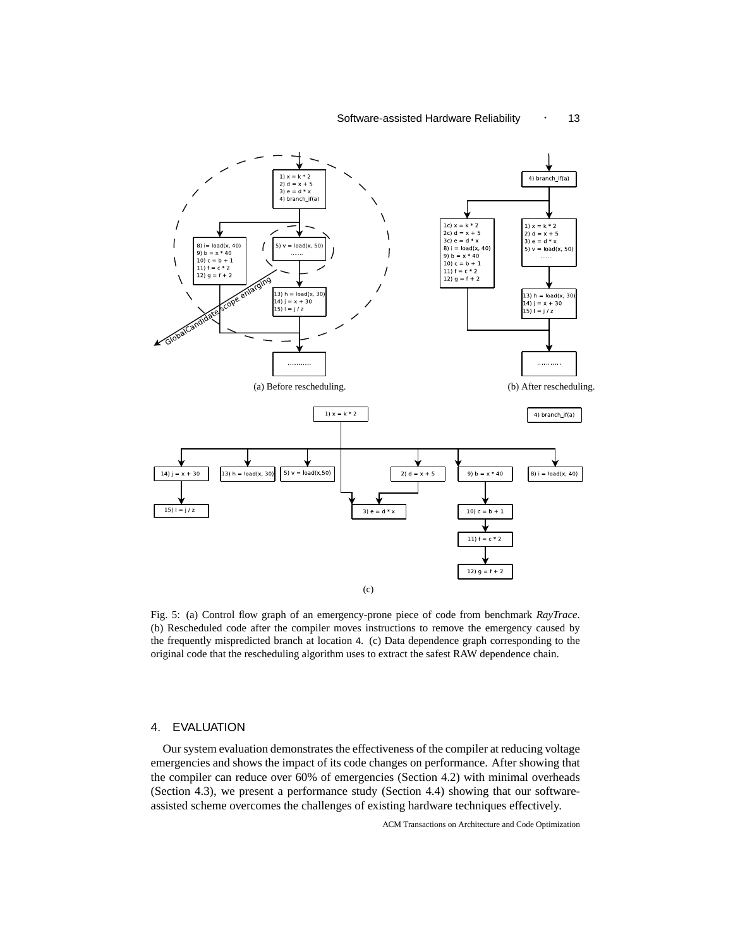

Fig. 5: (a) Control flow graph of an emergency-prone piece of code from benchmark *RayTrace*. (b) Rescheduled code after the compiler moves instructions to remove the emergency caused by the frequently mispredicted branch at location 4. (c) Data dependence graph corresponding to the original code that the rescheduling algorithm uses to extract the safest RAW dependence chain.

# 4. EVALUATION

Our system evaluation demonstrates the effectiveness of the compiler at reducing voltage emergencies and shows the impact of its code changes on performance. After showing that the compiler can reduce over 60% of emergencies (Section 4.2) with minimal overheads (Section 4.3), we present a performance study (Section 4.4) showing that our softwareassisted scheme overcomes the challenges of existing hardware techniques effectively.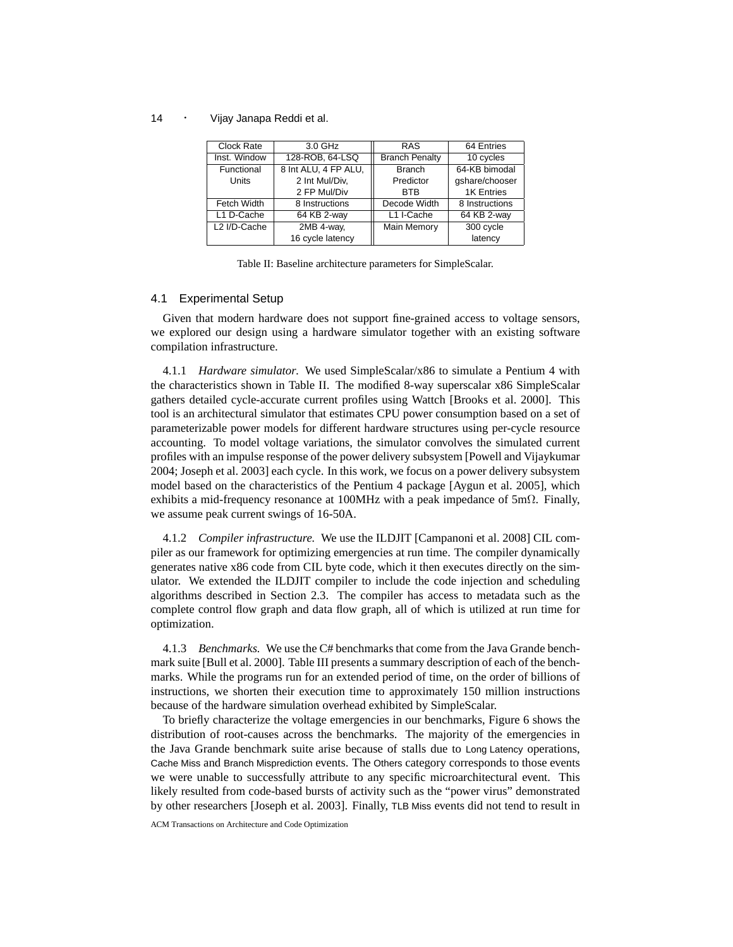14 · Vijay Janapa Reddi et al.

| <b>Clock Rate</b>  | 3.0 GHz              | <b>RAS</b>            | 64 Entries     |
|--------------------|----------------------|-----------------------|----------------|
| Inst. Window       | 128-ROB, 64-LSQ      | <b>Branch Penalty</b> | 10 cycles      |
| Functional         | 8 Int ALU, 4 FP ALU, | <b>Branch</b>         | 64-KB bimodal  |
| Units              | 2 Int Mul/Div.       | Predictor             | qshare/chooser |
|                    | 2 FP Mul/Div         | <b>BTB</b>            | 1K Entries     |
| <b>Fetch Width</b> | 8 Instructions       | Decode Width          | 8 Instructions |
| L1 D-Cache         | 64 KB 2-way          | L1 I-Cache            | 64 KB 2-way    |
| L2 I/D-Cache       | 2MB 4-way,           | <b>Main Memory</b>    | 300 cycle      |
|                    | 16 cycle latency     |                       | latency        |

Table II: Baseline architecture parameters for SimpleScalar.

#### 4.1 Experimental Setup

Given that modern hardware does not support fine-grained access to voltage sensors, we explored our design using a hardware simulator together with an existing software compilation infrastructure.

4.1.1 *Hardware simulator.* We used SimpleScalar/x86 to simulate a Pentium 4 with the characteristics shown in Table II. The modified 8-way superscalar x86 SimpleScalar gathers detailed cycle-accurate current profiles using Wattch [Brooks et al. 2000]. This tool is an architectural simulator that estimates CPU power consumption based on a set of parameterizable power models for different hardware structures using per-cycle resource accounting. To model voltage variations, the simulator convolves the simulated current profiles with an impulse response of the power delivery subsystem [Powell and Vijaykumar 2004; Joseph et al. 2003] each cycle. In this work, we focus on a power delivery subsystem model based on the characteristics of the Pentium 4 package [Aygun et al. 2005], which exhibits a mid-frequency resonance at 100MHz with a peak impedance of  $5m\Omega$ . Finally, we assume peak current swings of 16-50A.

4.1.2 *Compiler infrastructure.* We use the ILDJIT [Campanoni et al. 2008] CIL compiler as our framework for optimizing emergencies at run time. The compiler dynamically generates native x86 code from CIL byte code, which it then executes directly on the simulator. We extended the ILDJIT compiler to include the code injection and scheduling algorithms described in Section 2.3. The compiler has access to metadata such as the complete control flow graph and data flow graph, all of which is utilized at run time for optimization.

4.1.3 *Benchmarks.* We use the C# benchmarks that come from the Java Grande benchmark suite [Bull et al. 2000]. Table III presents a summary description of each of the benchmarks. While the programs run for an extended period of time, on the order of billions of instructions, we shorten their execution time to approximately 150 million instructions because of the hardware simulation overhead exhibited by SimpleScalar.

To briefly characterize the voltage emergencies in our benchmarks, Figure 6 shows the distribution of root-causes across the benchmarks. The majority of the emergencies in the Java Grande benchmark suite arise because of stalls due to Long Latency operations, Cache Miss and Branch Misprediction events. The Others category corresponds to those events we were unable to successfully attribute to any specific microarchitectural event. This likely resulted from code-based bursts of activity such as the "power virus" demonstrated by other researchers [Joseph et al. 2003]. Finally, TLB Miss events did not tend to result in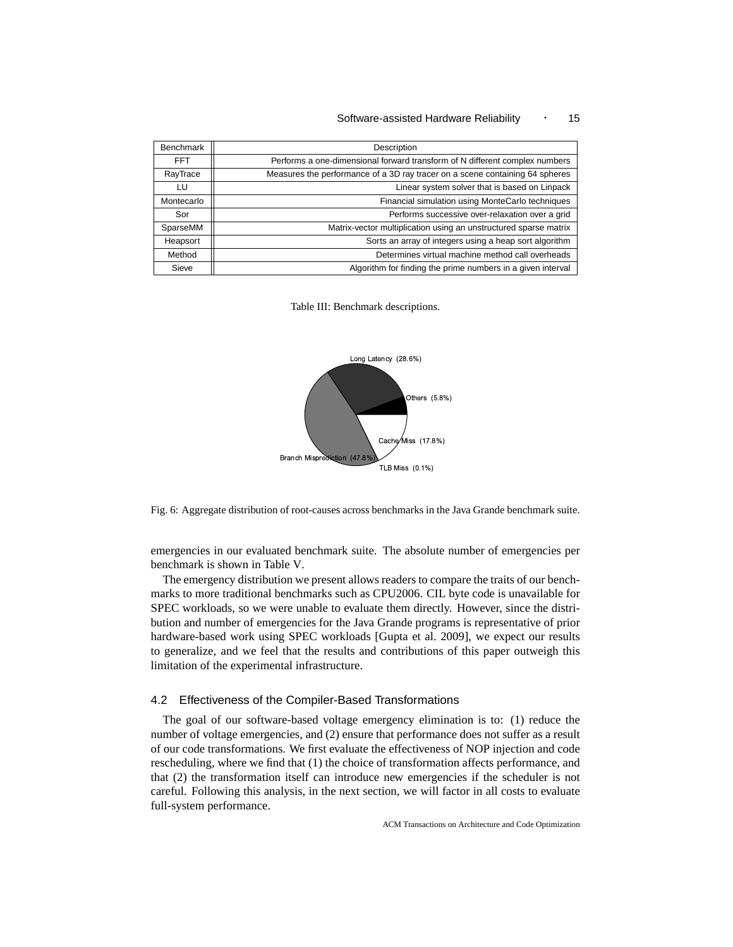#### Software-assisted Hardware Reliability • 15

| <b>Benchmark</b> | Description                                                                  |
|------------------|------------------------------------------------------------------------------|
| <b>FFT</b>       | Performs a one-dimensional forward transform of N different complex numbers  |
| RayTrace         | Measures the performance of a 3D ray tracer on a scene containing 64 spheres |
| LU               | Linear system solver that is based on Linpack                                |
| Montecarlo       | Financial simulation using MonteCarlo techniques                             |
| Sor              | Performs successive over-relaxation over a grid                              |
| SparseMM         | Matrix-vector multiplication using an unstructured sparse matrix             |
| Heapsort         | Sorts an array of integers using a heap sort algorithm                       |
| Method           | Determines virtual machine method call overheads                             |
| Sieve            | Algorithm for finding the prime numbers in a given interval                  |

Table III: Benchmark descriptions.



Fig. 6: Aggregate distribution of root-causes across benchmarks in the Java Grande benchmark suite.

emergencies in our evaluated benchmark suite. The absolute number of emergencies per benchmark is shown in Table V.

The emergency distribution we present allows readers to compare the traits of our benchmarks to more traditional benchmarks such as CPU2006. CIL byte code is unavailable for SPEC workloads, so we were unable to evaluate them directly. However, since the distribution and number of emergencies for the Java Grande programs is representative of prior hardware-based work using SPEC workloads [Gupta et al. 2009], we expect our results to generalize, and we feel that the results and contributions of this paper outweigh this limitation of the experimental infrastructure.

### 4.2 Effectiveness of the Compiler-Based Transformations

The goal of our software-based voltage emergency elimination is to: (1) reduce the number of voltage emergencies, and (2) ensure that performance does not suffer as a result of our code transformations. We first evaluate the effectiveness of NOP injection and code rescheduling, where we find that (1) the choice of transformation affects performance, and that (2) the transformation itself can introduce new emergencies if the scheduler is not careful. Following this analysis, in the next section, we will factor in all costs to evaluate full-system performance.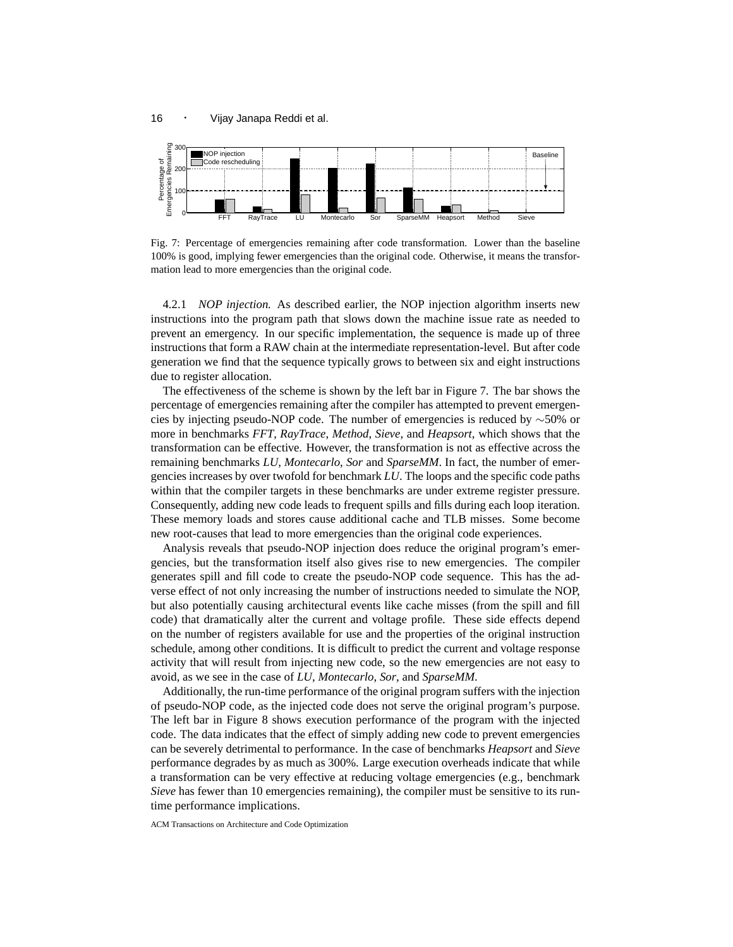

Fig. 7: Percentage of emergencies remaining after code transformation. Lower than the baseline 100% is good, implying fewer emergencies than the original code. Otherwise, it means the transformation lead to more emergencies than the original code.

4.2.1 *NOP injection.* As described earlier, the NOP injection algorithm inserts new instructions into the program path that slows down the machine issue rate as needed to prevent an emergency. In our specific implementation, the sequence is made up of three instructions that form a RAW chain at the intermediate representation-level. But after code generation we find that the sequence typically grows to between six and eight instructions due to register allocation.

The effectiveness of the scheme is shown by the left bar in Figure 7. The bar shows the percentage of emergencies remaining after the compiler has attempted to prevent emergencies by injecting pseudo-NOP code. The number of emergencies is reduced by ∼50% or more in benchmarks *FFT*, *RayTrace*, *Method*, *Sieve*, and *Heapsort*, which shows that the transformation can be effective. However, the transformation is not as effective across the remaining benchmarks *LU*, *Montecarlo*, *Sor* and *SparseMM*. In fact, the number of emergencies increases by over twofold for benchmark *LU*. The loops and the specific code paths within that the compiler targets in these benchmarks are under extreme register pressure. Consequently, adding new code leads to frequent spills and fills during each loop iteration. These memory loads and stores cause additional cache and TLB misses. Some become new root-causes that lead to more emergencies than the original code experiences.

Analysis reveals that pseudo-NOP injection does reduce the original program's emergencies, but the transformation itself also gives rise to new emergencies. The compiler generates spill and fill code to create the pseudo-NOP code sequence. This has the adverse effect of not only increasing the number of instructions needed to simulate the NOP, but also potentially causing architectural events like cache misses (from the spill and fill code) that dramatically alter the current and voltage profile. These side effects depend on the number of registers available for use and the properties of the original instruction schedule, among other conditions. It is difficult to predict the current and voltage response activity that will result from injecting new code, so the new emergencies are not easy to avoid, as we see in the case of *LU*, *Montecarlo*, *Sor*, and *SparseMM*.

Additionally, the run-time performance of the original program suffers with the injection of pseudo-NOP code, as the injected code does not serve the original program's purpose. The left bar in Figure 8 shows execution performance of the program with the injected code. The data indicates that the effect of simply adding new code to prevent emergencies can be severely detrimental to performance. In the case of benchmarks *Heapsort* and *Sieve* performance degrades by as much as 300%. Large execution overheads indicate that while a transformation can be very effective at reducing voltage emergencies (e.g., benchmark *Sieve* has fewer than 10 emergencies remaining), the compiler must be sensitive to its runtime performance implications.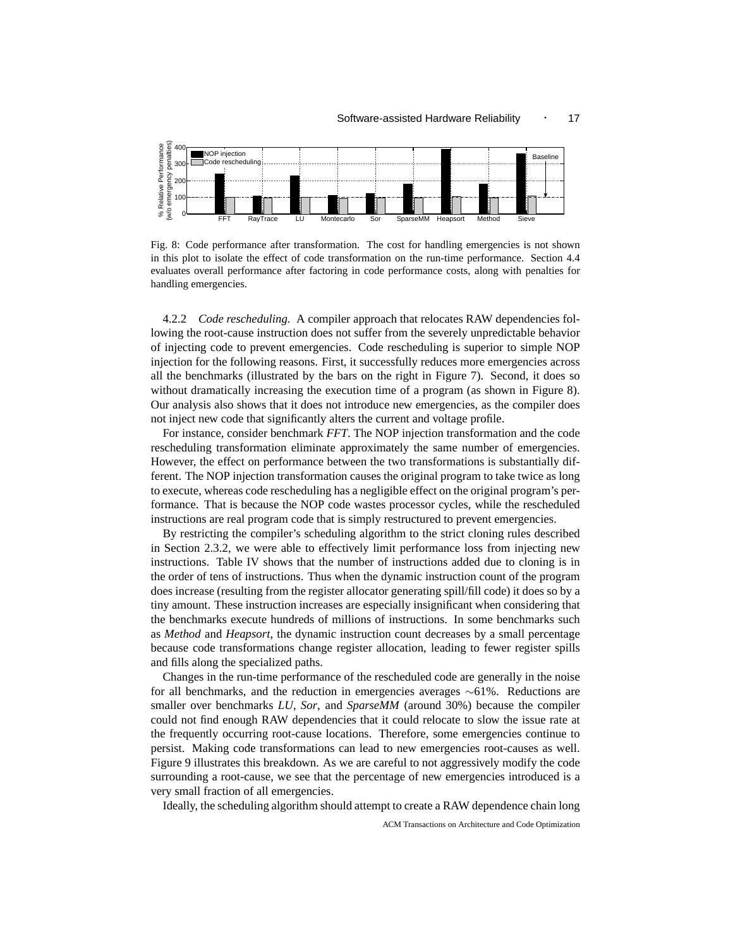

Fig. 8: Code performance after transformation. The cost for handling emergencies is not shown in this plot to isolate the effect of code transformation on the run-time performance. Section 4.4 evaluates overall performance after factoring in code performance costs, along with penalties for handling emergencies.

4.2.2 *Code rescheduling.* A compiler approach that relocates RAW dependencies following the root-cause instruction does not suffer from the severely unpredictable behavior of injecting code to prevent emergencies. Code rescheduling is superior to simple NOP injection for the following reasons. First, it successfully reduces more emergencies across all the benchmarks (illustrated by the bars on the right in Figure 7). Second, it does so without dramatically increasing the execution time of a program (as shown in Figure 8). Our analysis also shows that it does not introduce new emergencies, as the compiler does not inject new code that significantly alters the current and voltage profile.

For instance, consider benchmark *FFT*. The NOP injection transformation and the code rescheduling transformation eliminate approximately the same number of emergencies. However, the effect on performance between the two transformations is substantially different. The NOP injection transformation causes the original program to take twice as long to execute, whereas code rescheduling has a negligible effect on the original program's performance. That is because the NOP code wastes processor cycles, while the rescheduled instructions are real program code that is simply restructured to prevent emergencies.

By restricting the compiler's scheduling algorithm to the strict cloning rules described in Section 2.3.2, we were able to effectively limit performance loss from injecting new instructions. Table IV shows that the number of instructions added due to cloning is in the order of tens of instructions. Thus when the dynamic instruction count of the program does increase (resulting from the register allocator generating spill/fill code) it does so by a tiny amount. These instruction increases are especially insignificant when considering that the benchmarks execute hundreds of millions of instructions. In some benchmarks such as *Method* and *Heapsort*, the dynamic instruction count decreases by a small percentage because code transformations change register allocation, leading to fewer register spills and fills along the specialized paths.

Changes in the run-time performance of the rescheduled code are generally in the noise for all benchmarks, and the reduction in emergencies averages ∼61%. Reductions are smaller over benchmarks *LU*, *Sor*, and *SparseMM* (around 30%) because the compiler could not find enough RAW dependencies that it could relocate to slow the issue rate at the frequently occurring root-cause locations. Therefore, some emergencies continue to persist. Making code transformations can lead to new emergencies root-causes as well. Figure 9 illustrates this breakdown. As we are careful to not aggressively modify the code surrounding a root-cause, we see that the percentage of new emergencies introduced is a very small fraction of all emergencies.

Ideally, the scheduling algorithm should attempt to create a RAW dependence chain long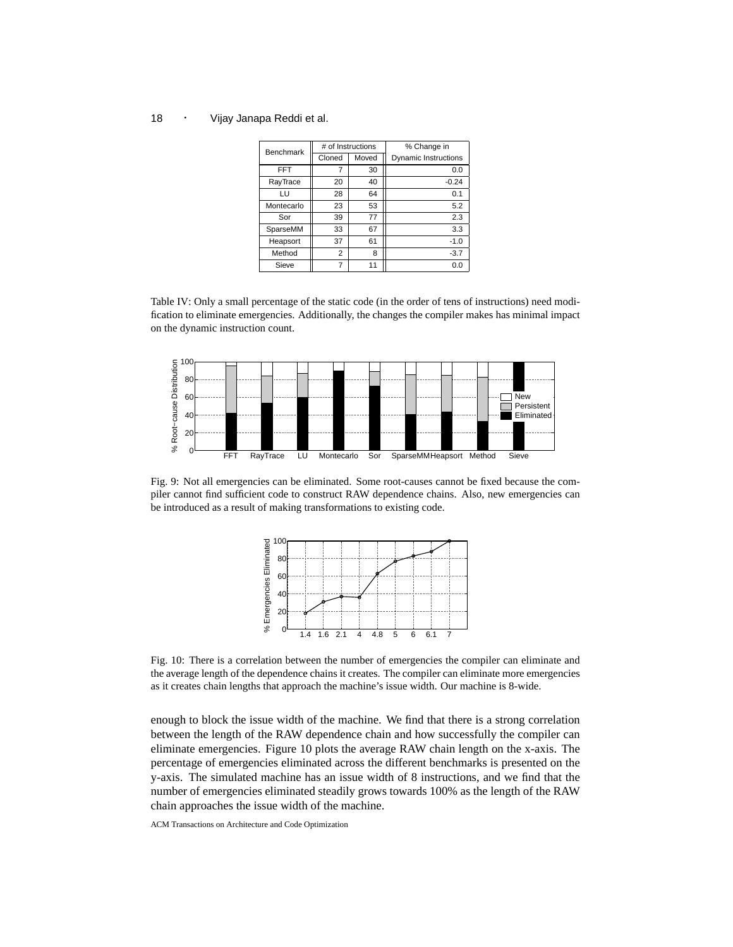| <b>Benchmark</b> | # of Instructions |       | % Change in                 |  |
|------------------|-------------------|-------|-----------------------------|--|
|                  | Cloned            | Moved | <b>Dynamic Instructions</b> |  |
| <b>FFT</b>       | 7                 | 30    | 0.0                         |  |
| RayTrace         | 20                | 40    | $-0.24$                     |  |
| LU               | 28                | 64    | 0.1                         |  |
| Montecarlo       | 23                | 53    | 5.2                         |  |
| Sor              | 39                | 77    | 2.3                         |  |
| SparseMM         | 33                | 67    | 3.3                         |  |
| Heapsort         | 37                | 61    | $-1.0$                      |  |
| Method           | 2                 | 8     | $-3.7$                      |  |
| Sieve            |                   | 11    | 0.0                         |  |

Table IV: Only a small percentage of the static code (in the order of tens of instructions) need modification to eliminate emergencies. Additionally, the changes the compiler makes has minimal impact on the dynamic instruction count.



Fig. 9: Not all emergencies can be eliminated. Some root-causes cannot be fixed because the compiler cannot find sufficient code to construct RAW dependence chains. Also, new emergencies can be introduced as a result of making transformations to existing code.



Fig. 10: There is a correlation between the number of emergencies the compiler can eliminate and the average length of the dependence chains it creates. The compiler can eliminate more emergencies as it creates chain lengths that approach the machine's issue width. Our machine is 8-wide.

enough to block the issue width of the machine. We find that there is a strong correlation between the length of the RAW dependence chain and how successfully the compiler can eliminate emergencies. Figure 10 plots the average RAW chain length on the x-axis. The percentage of emergencies eliminated across the different benchmarks is presented on the y-axis. The simulated machine has an issue width of 8 instructions, and we find that the number of emergencies eliminated steadily grows towards 100% as the length of the RAW chain approaches the issue width of the machine.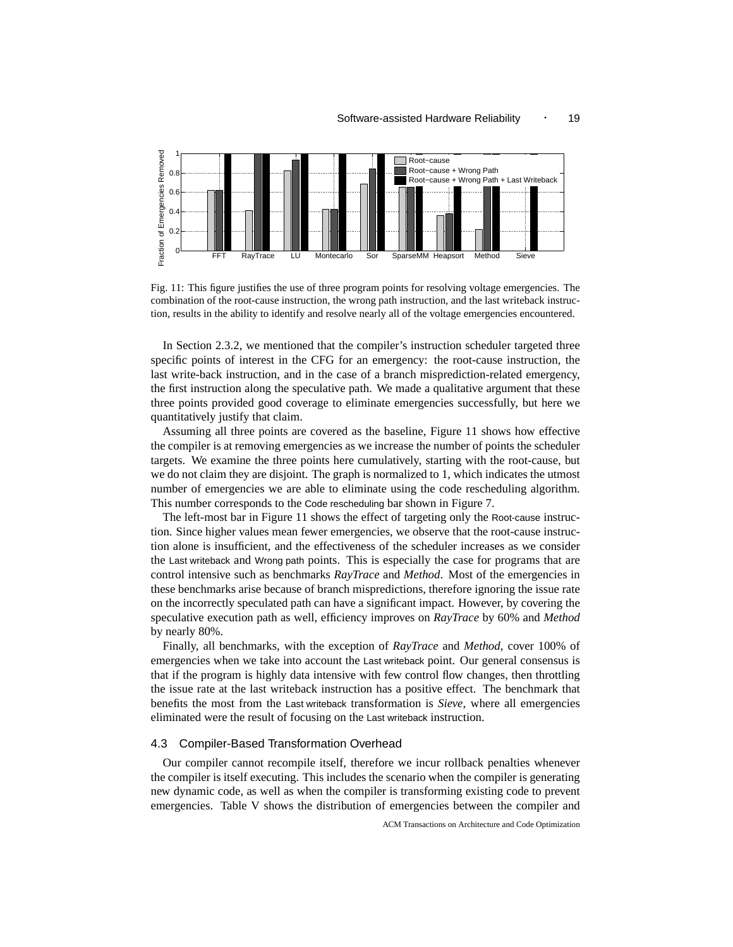

Fig. 11: This figure justifies the use of three program points for resolving voltage emergencies. The combination of the root-cause instruction, the wrong path instruction, and the last writeback instruction, results in the ability to identify and resolve nearly all of the voltage emergencies encountered.

In Section 2.3.2, we mentioned that the compiler's instruction scheduler targeted three specific points of interest in the CFG for an emergency: the root-cause instruction, the last write-back instruction, and in the case of a branch misprediction-related emergency, the first instruction along the speculative path. We made a qualitative argument that these three points provided good coverage to eliminate emergencies successfully, but here we quantitatively justify that claim.

Assuming all three points are covered as the baseline, Figure 11 shows how effective the compiler is at removing emergencies as we increase the number of points the scheduler targets. We examine the three points here cumulatively, starting with the root-cause, but we do not claim they are disjoint. The graph is normalized to 1, which indicates the utmost number of emergencies we are able to eliminate using the code rescheduling algorithm. This number corresponds to the Code rescheduling bar shown in Figure 7.

The left-most bar in Figure 11 shows the effect of targeting only the Root-cause instruction. Since higher values mean fewer emergencies, we observe that the root-cause instruction alone is insufficient, and the effectiveness of the scheduler increases as we consider the Last writeback and Wrong path points. This is especially the case for programs that are control intensive such as benchmarks *RayTrace* and *Method*. Most of the emergencies in these benchmarks arise because of branch mispredictions, therefore ignoring the issue rate on the incorrectly speculated path can have a significant impact. However, by covering the speculative execution path as well, efficiency improves on *RayTrace* by 60% and *Method* by nearly 80%.

Finally, all benchmarks, with the exception of *RayTrace* and *Method*, cover 100% of emergencies when we take into account the Last writeback point. Our general consensus is that if the program is highly data intensive with few control flow changes, then throttling the issue rate at the last writeback instruction has a positive effect. The benchmark that benefits the most from the Last writeback transformation is *Sieve*, where all emergencies eliminated were the result of focusing on the Last writeback instruction.

#### 4.3 Compiler-Based Transformation Overhead

Our compiler cannot recompile itself, therefore we incur rollback penalties whenever the compiler is itself executing. This includes the scenario when the compiler is generating new dynamic code, as well as when the compiler is transforming existing code to prevent emergencies. Table V shows the distribution of emergencies between the compiler and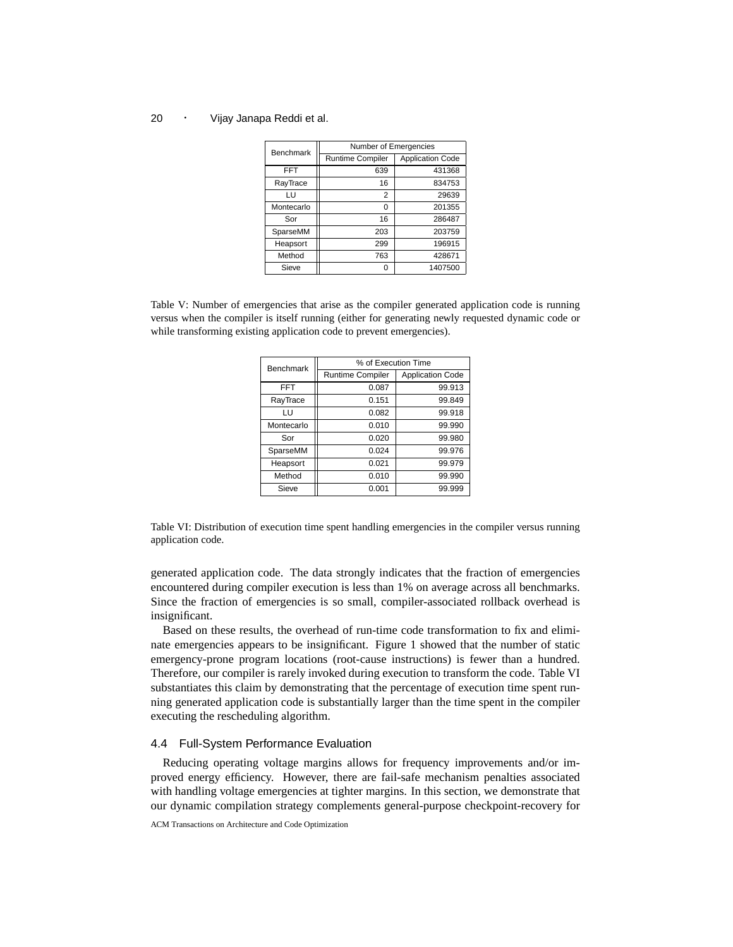| <b>Benchmark</b> | Number of Emergencies |                         |  |
|------------------|-----------------------|-------------------------|--|
|                  | Runtime Compiler      | <b>Application Code</b> |  |
| FFT              | 639                   | 431368                  |  |
| RayTrace         | 16                    | 834753                  |  |
| LU               | 2                     | 29639                   |  |
| Montecarlo       | 0                     | 201355                  |  |
| Sor              | 16                    | 286487                  |  |
| SparseMM         | 203                   | 203759                  |  |
| Heapsort         | 299                   | 196915                  |  |
| Method           | 763                   | 428671                  |  |
| Sieve            | n                     | 1407500                 |  |

Table V: Number of emergencies that arise as the compiler generated application code is running versus when the compiler is itself running (either for generating newly requested dynamic code or while transforming existing application code to prevent emergencies).

| <b>Benchmark</b> | % of Execution Time     |                         |  |
|------------------|-------------------------|-------------------------|--|
|                  | <b>Runtime Compiler</b> | <b>Application Code</b> |  |
| <b>FFT</b>       | 0.087                   | 99.913                  |  |
| RayTrace         | 0.151                   | 99.849                  |  |
| LU               | 0.082                   | 99.918                  |  |
| Montecarlo       | 0.010                   | 99.990                  |  |
| Sor              | 0.020                   | 99.980                  |  |
| SparseMM         | 0.024                   | 99.976                  |  |
| Heapsort         | 0.021                   | 99.979                  |  |
| Method           | 0.010                   | 99.990                  |  |
| Sieve            | 0.001                   | 99.999                  |  |

Table VI: Distribution of execution time spent handling emergencies in the compiler versus running application code.

generated application code. The data strongly indicates that the fraction of emergencies encountered during compiler execution is less than 1% on average across all benchmarks. Since the fraction of emergencies is so small, compiler-associated rollback overhead is insignificant.

Based on these results, the overhead of run-time code transformation to fix and eliminate emergencies appears to be insignificant. Figure 1 showed that the number of static emergency-prone program locations (root-cause instructions) is fewer than a hundred. Therefore, our compiler is rarely invoked during execution to transform the code. Table VI substantiates this claim by demonstrating that the percentage of execution time spent running generated application code is substantially larger than the time spent in the compiler executing the rescheduling algorithm.

# 4.4 Full-System Performance Evaluation

Reducing operating voltage margins allows for frequency improvements and/or improved energy efficiency. However, there are fail-safe mechanism penalties associated with handling voltage emergencies at tighter margins. In this section, we demonstrate that our dynamic compilation strategy complements general-purpose checkpoint-recovery for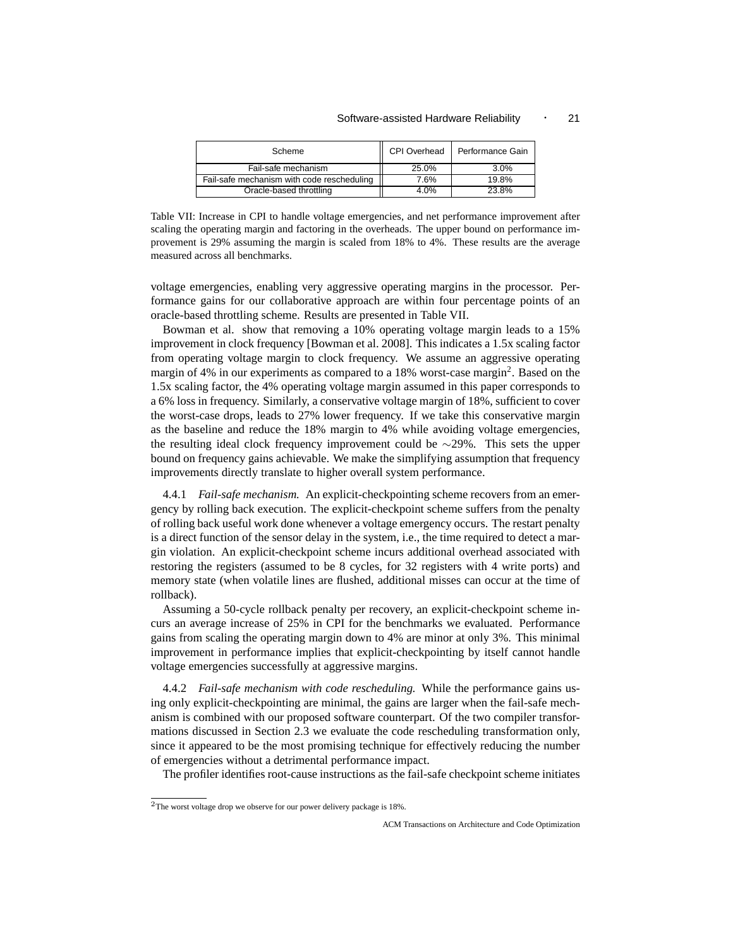#### Software-assisted Hardware Reliability • 21

| Scheme                                     | CPI Overhead | Performance Gain |
|--------------------------------------------|--------------|------------------|
| Fail-safe mechanism                        | 25.0%        | 3.0%             |
| Fail-safe mechanism with code rescheduling | 7.6%         | 19.8%            |
| Oracle-based throttling                    | 4.0%         | 23.8%            |

Table VII: Increase in CPI to handle voltage emergencies, and net performance improvement after scaling the operating margin and factoring in the overheads. The upper bound on performance improvement is 29% assuming the margin is scaled from 18% to 4%. These results are the average measured across all benchmarks.

voltage emergencies, enabling very aggressive operating margins in the processor. Performance gains for our collaborative approach are within four percentage points of an oracle-based throttling scheme. Results are presented in Table VII.

Bowman et al. show that removing a 10% operating voltage margin leads to a 15% improvement in clock frequency [Bowman et al. 2008]. This indicates a 1.5x scaling factor from operating voltage margin to clock frequency. We assume an aggressive operating margin of 4% in our experiments as compared to a 18% worst-case margin<sup>2</sup>. Based on the 1.5x scaling factor, the 4% operating voltage margin assumed in this paper corresponds to a 6% loss in frequency. Similarly, a conservative voltage margin of 18%, sufficient to cover the worst-case drops, leads to 27% lower frequency. If we take this conservative margin as the baseline and reduce the 18% margin to 4% while avoiding voltage emergencies, the resulting ideal clock frequency improvement could be ∼29%. This sets the upper bound on frequency gains achievable. We make the simplifying assumption that frequency improvements directly translate to higher overall system performance.

4.4.1 *Fail-safe mechanism.* An explicit-checkpointing scheme recovers from an emergency by rolling back execution. The explicit-checkpoint scheme suffers from the penalty of rolling back useful work done whenever a voltage emergency occurs. The restart penalty is a direct function of the sensor delay in the system, i.e., the time required to detect a margin violation. An explicit-checkpoint scheme incurs additional overhead associated with restoring the registers (assumed to be 8 cycles, for 32 registers with 4 write ports) and memory state (when volatile lines are flushed, additional misses can occur at the time of rollback).

Assuming a 50-cycle rollback penalty per recovery, an explicit-checkpoint scheme incurs an average increase of 25% in CPI for the benchmarks we evaluated. Performance gains from scaling the operating margin down to 4% are minor at only 3%. This minimal improvement in performance implies that explicit-checkpointing by itself cannot handle voltage emergencies successfully at aggressive margins.

4.4.2 *Fail-safe mechanism with code rescheduling.* While the performance gains using only explicit-checkpointing are minimal, the gains are larger when the fail-safe mechanism is combined with our proposed software counterpart. Of the two compiler transformations discussed in Section 2.3 we evaluate the code rescheduling transformation only, since it appeared to be the most promising technique for effectively reducing the number of emergencies without a detrimental performance impact.

The profiler identifies root-cause instructions as the fail-safe checkpoint scheme initiates

 $2$ The worst voltage drop we observe for our power delivery package is 18%.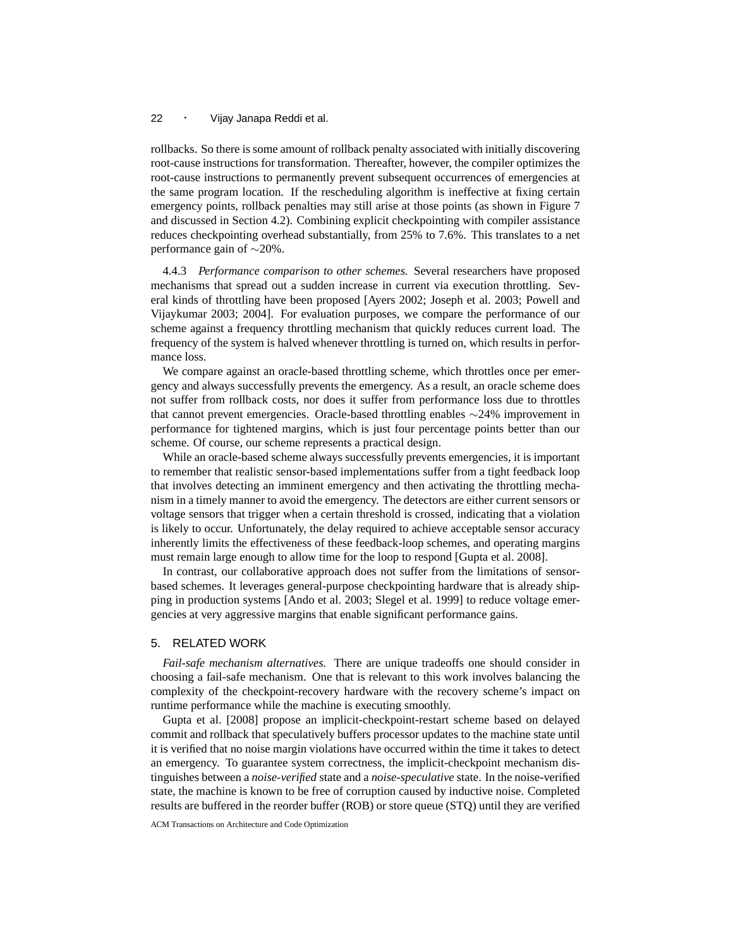rollbacks. So there is some amount of rollback penalty associated with initially discovering root-cause instructions for transformation. Thereafter, however, the compiler optimizes the root-cause instructions to permanently prevent subsequent occurrences of emergencies at the same program location. If the rescheduling algorithm is ineffective at fixing certain emergency points, rollback penalties may still arise at those points (as shown in Figure 7 and discussed in Section 4.2). Combining explicit checkpointing with compiler assistance reduces checkpointing overhead substantially, from 25% to 7.6%. This translates to a net performance gain of ∼20%.

4.4.3 *Performance comparison to other schemes.* Several researchers have proposed mechanisms that spread out a sudden increase in current via execution throttling. Several kinds of throttling have been proposed [Ayers 2002; Joseph et al. 2003; Powell and Vijaykumar 2003; 2004]. For evaluation purposes, we compare the performance of our scheme against a frequency throttling mechanism that quickly reduces current load. The frequency of the system is halved whenever throttling is turned on, which results in performance loss.

We compare against an oracle-based throttling scheme, which throttles once per emergency and always successfully prevents the emergency. As a result, an oracle scheme does not suffer from rollback costs, nor does it suffer from performance loss due to throttles that cannot prevent emergencies. Oracle-based throttling enables ∼24% improvement in performance for tightened margins, which is just four percentage points better than our scheme. Of course, our scheme represents a practical design.

While an oracle-based scheme always successfully prevents emergencies, it is important to remember that realistic sensor-based implementations suffer from a tight feedback loop that involves detecting an imminent emergency and then activating the throttling mechanism in a timely manner to avoid the emergency. The detectors are either current sensors or voltage sensors that trigger when a certain threshold is crossed, indicating that a violation is likely to occur. Unfortunately, the delay required to achieve acceptable sensor accuracy inherently limits the effectiveness of these feedback-loop schemes, and operating margins must remain large enough to allow time for the loop to respond [Gupta et al. 2008].

In contrast, our collaborative approach does not suffer from the limitations of sensorbased schemes. It leverages general-purpose checkpointing hardware that is already shipping in production systems [Ando et al. 2003; Slegel et al. 1999] to reduce voltage emergencies at very aggressive margins that enable significant performance gains.

#### 5. RELATED WORK

*Fail-safe mechanism alternatives.* There are unique tradeoffs one should consider in choosing a fail-safe mechanism. One that is relevant to this work involves balancing the complexity of the checkpoint-recovery hardware with the recovery scheme's impact on runtime performance while the machine is executing smoothly.

Gupta et al. [2008] propose an implicit-checkpoint-restart scheme based on delayed commit and rollback that speculatively buffers processor updates to the machine state until it is verified that no noise margin violations have occurred within the time it takes to detect an emergency. To guarantee system correctness, the implicit-checkpoint mechanism distinguishes between a *noise-verified* state and a *noise-speculative* state. In the noise-verified state, the machine is known to be free of corruption caused by inductive noise. Completed results are buffered in the reorder buffer (ROB) or store queue (STQ) until they are verified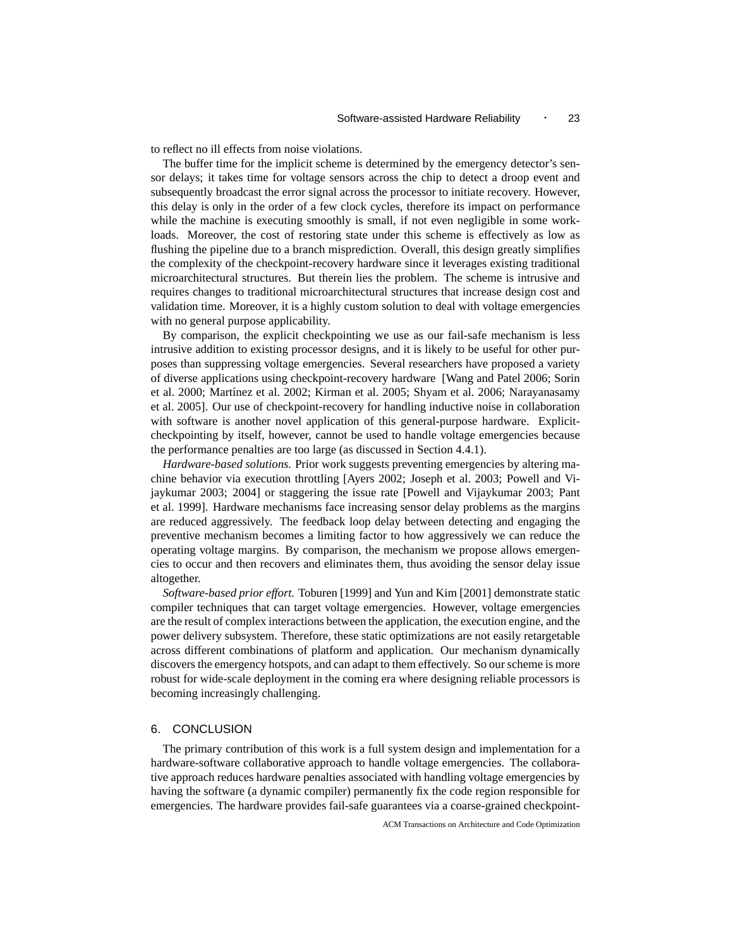to reflect no ill effects from noise violations.

The buffer time for the implicit scheme is determined by the emergency detector's sensor delays; it takes time for voltage sensors across the chip to detect a droop event and subsequently broadcast the error signal across the processor to initiate recovery. However, this delay is only in the order of a few clock cycles, therefore its impact on performance while the machine is executing smoothly is small, if not even negligible in some workloads. Moreover, the cost of restoring state under this scheme is effectively as low as flushing the pipeline due to a branch misprediction. Overall, this design greatly simplifies the complexity of the checkpoint-recovery hardware since it leverages existing traditional microarchitectural structures. But therein lies the problem. The scheme is intrusive and requires changes to traditional microarchitectural structures that increase design cost and validation time. Moreover, it is a highly custom solution to deal with voltage emergencies with no general purpose applicability.

By comparison, the explicit checkpointing we use as our fail-safe mechanism is less intrusive addition to existing processor designs, and it is likely to be useful for other purposes than suppressing voltage emergencies. Several researchers have proposed a variety of diverse applications using checkpoint-recovery hardware [Wang and Patel 2006; Sorin et al. 2000; Martínez et al. 2002; Kirman et al. 2005; Shyam et al. 2006; Narayanasamy et al. 2005]. Our use of checkpoint-recovery for handling inductive noise in collaboration with software is another novel application of this general-purpose hardware. Explicitcheckpointing by itself, however, cannot be used to handle voltage emergencies because the performance penalties are too large (as discussed in Section 4.4.1).

*Hardware-based solutions.* Prior work suggests preventing emergencies by altering machine behavior via execution throttling [Ayers 2002; Joseph et al. 2003; Powell and Vijaykumar 2003; 2004] or staggering the issue rate [Powell and Vijaykumar 2003; Pant et al. 1999]. Hardware mechanisms face increasing sensor delay problems as the margins are reduced aggressively. The feedback loop delay between detecting and engaging the preventive mechanism becomes a limiting factor to how aggressively we can reduce the operating voltage margins. By comparison, the mechanism we propose allows emergencies to occur and then recovers and eliminates them, thus avoiding the sensor delay issue altogether.

*Software-based prior effort.* Toburen [1999] and Yun and Kim [2001] demonstrate static compiler techniques that can target voltage emergencies. However, voltage emergencies are the result of complex interactions between the application, the execution engine, and the power delivery subsystem. Therefore, these static optimizations are not easily retargetable across different combinations of platform and application. Our mechanism dynamically discovers the emergency hotspots, and can adapt to them effectively. So our scheme is more robust for wide-scale deployment in the coming era where designing reliable processors is becoming increasingly challenging.

# 6. CONCLUSION

The primary contribution of this work is a full system design and implementation for a hardware-software collaborative approach to handle voltage emergencies. The collaborative approach reduces hardware penalties associated with handling voltage emergencies by having the software (a dynamic compiler) permanently fix the code region responsible for emergencies. The hardware provides fail-safe guarantees via a coarse-grained checkpoint-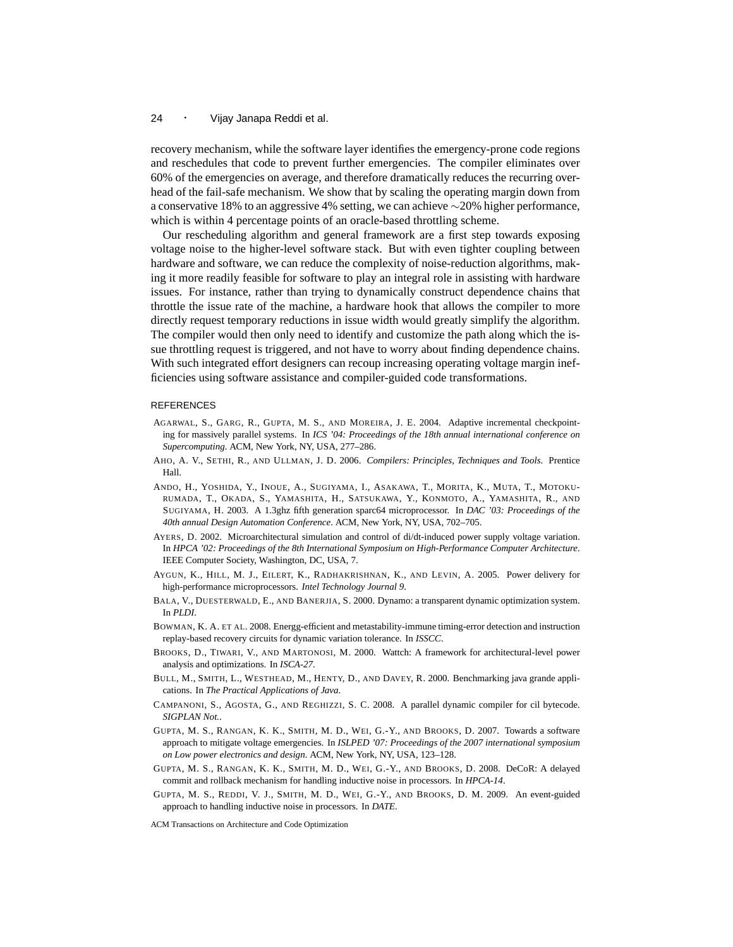recovery mechanism, while the software layer identifies the emergency-prone code regions and reschedules that code to prevent further emergencies. The compiler eliminates over 60% of the emergencies on average, and therefore dramatically reduces the recurring overhead of the fail-safe mechanism. We show that by scaling the operating margin down from a conservative 18% to an aggressive 4% setting, we can achieve ∼20% higher performance, which is within 4 percentage points of an oracle-based throttling scheme.

Our rescheduling algorithm and general framework are a first step towards exposing voltage noise to the higher-level software stack. But with even tighter coupling between hardware and software, we can reduce the complexity of noise-reduction algorithms, making it more readily feasible for software to play an integral role in assisting with hardware issues. For instance, rather than trying to dynamically construct dependence chains that throttle the issue rate of the machine, a hardware hook that allows the compiler to more directly request temporary reductions in issue width would greatly simplify the algorithm. The compiler would then only need to identify and customize the path along which the issue throttling request is triggered, and not have to worry about finding dependence chains. With such integrated effort designers can recoup increasing operating voltage margin inefficiencies using software assistance and compiler-guided code transformations.

#### **REFERENCES**

- AGARWAL, S., GARG, R., GUPTA, M. S., AND MOREIRA, J. E. 2004. Adaptive incremental checkpointing for massively parallel systems. In *ICS '04: Proceedings of the 18th annual international conference on Supercomputing*. ACM, New York, NY, USA, 277–286.
- AHO, A. V., SETHI, R., AND ULLMAN, J. D. 2006. *Compilers: Principles, Techniques and Tools*. Prentice Hall
- ANDO, H., YOSHIDA, Y., INOUE, A., SUGIYAMA, I., ASAKAWA, T., MORITA, K., MUTA, T., MOTOKU-RUMADA, T., OKADA, S., YAMASHITA, H., SATSUKAWA, Y., KONMOTO, A., YAMASHITA, R., AND SUGIYAMA, H. 2003. A 1.3ghz fifth generation sparc64 microprocessor. In *DAC '03: Proceedings of the 40th annual Design Automation Conference*. ACM, New York, NY, USA, 702–705.
- AYERS, D. 2002. Microarchitectural simulation and control of di/dt-induced power supply voltage variation. In *HPCA '02: Proceedings of the 8th International Symposium on High-Performance Computer Architecture*. IEEE Computer Society, Washington, DC, USA, 7.
- AYGUN, K., HILL, M. J., EILERT, K., RADHAKRISHNAN, K., AND LEVIN, A. 2005. Power delivery for high-performance microprocessors. *Intel Technology Journal 9*.
- BALA, V., DUESTERWALD, E., AND BANERJIA, S. 2000. Dynamo: a transparent dynamic optimization system. In *PLDI*.
- BOWMAN, K. A. ET AL. 2008. Energg-efficient and metastability-immune timing-error detection and instruction replay-based recovery circuits for dynamic variation tolerance. In *ISSCC*.
- BROOKS, D., TIWARI, V., AND MARTONOSI, M. 2000. Wattch: A framework for architectural-level power analysis and optimizations. In *ISCA-27*.
- BULL, M., SMITH, L., WESTHEAD, M., HENTY, D., AND DAVEY, R. 2000. Benchmarking java grande applications. In *The Practical Applications of Java*.
- CAMPANONI, S., AGOSTA, G., AND REGHIZZI, S. C. 2008. A parallel dynamic compiler for cil bytecode. *SIGPLAN Not.*.
- GUPTA, M. S., RANGAN, K. K., SMITH, M. D., WEI, G.-Y., AND BROOKS, D. 2007. Towards a software approach to mitigate voltage emergencies. In *ISLPED '07: Proceedings of the 2007 international symposium on Low power electronics and design*. ACM, New York, NY, USA, 123–128.
- GUPTA, M. S., RANGAN, K. K., SMITH, M. D., WEI, G.-Y., AND BROOKS, D. 2008. DeCoR: A delayed commit and rollback mechanism for handling inductive noise in processors. In *HPCA-14*.
- GUPTA, M. S., REDDI, V. J., SMITH, M. D., WEI, G.-Y., AND BROOKS, D. M. 2009. An event-guided approach to handling inductive noise in processors. In *DATE*.